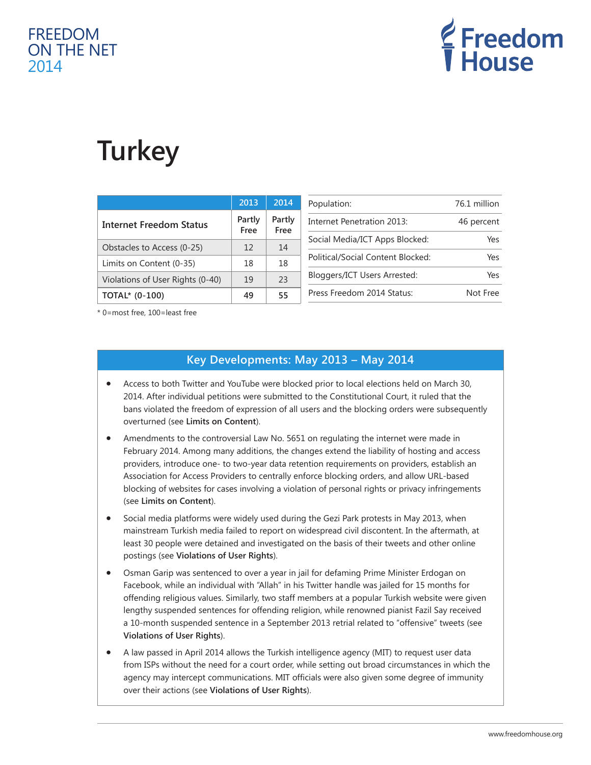## FREEDOM ON THE NET 2014



# **Turkey**

|                                  | 2013           | 2014           | Population:                       | 76.1 million |
|----------------------------------|----------------|----------------|-----------------------------------|--------------|
| <b>Internet Freedom Status</b>   | Partly<br>Free | Partly<br>Free | Internet Penetration 2013:        | 46 percent   |
|                                  |                |                | Social Media/ICT Apps Blocked:    | Yes          |
| Obstacles to Access (0-25)       | 12             | 14             |                                   |              |
|                                  |                |                |                                   |              |
| Limits on Content (0-35)         | 18             | 18             | Political/Social Content Blocked: | Yes          |
|                                  |                |                | Bloggers/ICT Users Arrested:      | Yes          |
| Violations of User Rights (0-40) | 19             | 23             |                                   |              |
| <b>TOTAL*</b> (0-100)            | 49             | 55             | Press Freedom 2014 Status:        | Not Free     |
|                                  |                |                |                                   |              |

\* 0=most free, 100=least free

## **Key Developments: May 2013 – May 2014**

- Access to both Twitter and YouTube were blocked prior to local elections held on March 30, 2014. After individual petitions were submitted to the Constitutional Court, it ruled that the bans violated the freedom of expression of all users and the blocking orders were subsequently overturned (see **Limits on Content**).
- Amendments to the controversial Law No. 5651 on regulating the internet were made in February 2014. Among many additions, the changes extend the liability of hosting and access providers, introduce one- to two-year data retention requirements on providers, establish an Association for Access Providers to centrally enforce blocking orders, and allow URL-based blocking of websites for cases involving a violation of personal rights or privacy infringements (see **Limits on Content**).
- Social media platforms were widely used during the Gezi Park protests in May 2013, when mainstream Turkish media failed to report on widespread civil discontent. In the aftermath, at least 30 people were detained and investigated on the basis of their tweets and other online postings (see **Violations of User Rights**).
- Osman Garip was sentenced to over a year in jail for defaming Prime Minister Erdogan on Facebook, while an individual with "Allah" in his Twitter handle was jailed for 15 months for offending religious values. Similarly, two staff members at a popular Turkish website were given lengthy suspended sentences for offending religion, while renowned pianist Fazil Say received a 10-month suspended sentence in a September 2013 retrial related to "offensive" tweets (see **Violations of User Rights**).
- A law passed in April 2014 allows the Turkish intelligence agency (MIT) to request user data from ISPs without the need for a court order, while setting out broad circumstances in which the agency may intercept communications. MIT officials were also given some degree of immunity over their actions (see **Violations of User Rights**).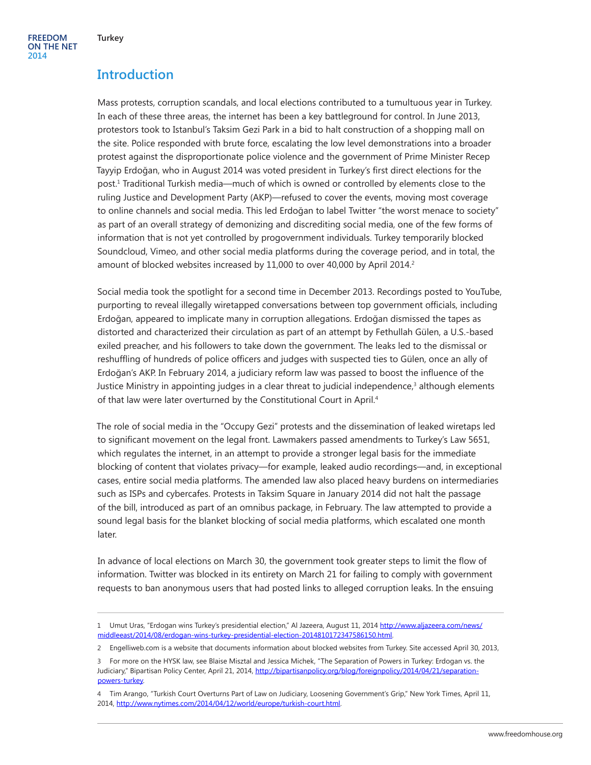## **Introduction**

Mass protests, corruption scandals, and local elections contributed to a tumultuous year in Turkey. In each of these three areas, the internet has been a key battleground for control. In June 2013, protestors took to Istanbul's Taksim Gezi Park in a bid to halt construction of a shopping mall on the site. Police responded with brute force, escalating the low level demonstrations into a broader protest against the disproportionate police violence and the government of Prime Minister Recep Tayyip Erdoğan, who in August 2014 was voted president in Turkey's first direct elections for the post.1 Traditional Turkish media—much of which is owned or controlled by elements close to the ruling Justice and Development Party (AKP)—refused to cover the events, moving most coverage to online channels and social media. This led Erdoğan to label Twitter "the worst menace to society" as part of an overall strategy of demonizing and discrediting social media, one of the few forms of information that is not yet controlled by progovernment individuals. Turkey temporarily blocked Soundcloud, Vimeo, and other social media platforms during the coverage period, and in total, the amount of blocked websites increased by 11,000 to over 40,000 by April 2014.<sup>2</sup>

Social media took the spotlight for a second time in December 2013. Recordings posted to YouTube, purporting to reveal illegally wiretapped conversations between top government officials, including Erdoğan, appeared to implicate many in corruption allegations. Erdoğan dismissed the tapes as distorted and characterized their circulation as part of an attempt by Fethullah Gülen, a U.S.-based exiled preacher, and his followers to take down the government. The leaks led to the dismissal or reshuffling of hundreds of police officers and judges with suspected ties to Gülen, once an ally of Erdoğan's AKP. In February 2014, a judiciary reform law was passed to boost the influence of the Justice Ministry in appointing judges in a clear threat to judicial independence, $^3$  although elements of that law were later overturned by the Constitutional Court in April.<sup>4</sup>

The role of social media in the "Occupy Gezi" protests and the dissemination of leaked wiretaps led to significant movement on the legal front. Lawmakers passed amendments to Turkey's Law 5651, which regulates the internet, in an attempt to provide a stronger legal basis for the immediate blocking of content that violates privacy—for example, leaked audio recordings—and, in exceptional cases, entire social media platforms. The amended law also placed heavy burdens on intermediaries such as ISPs and cybercafes. Protests in Taksim Square in January 2014 did not halt the passage of the bill, introduced as part of an omnibus package, in February. The law attempted to provide a sound legal basis for the blanket blocking of social media platforms, which escalated one month later.

In advance of local elections on March 30, the government took greater steps to limit the flow of information. Twitter was blocked in its entirety on March 21 for failing to comply with government requests to ban anonymous users that had posted links to alleged corruption leaks. In the ensuing

<sup>1</sup> Umut Uras, "Erdogan wins Turkey's presidential election," Al Jazeera, August 11, 2014 [http://www.aljazeera.com/news/](http://www.aljazeera.com/news/middleeast/2014/08/erdogan-wins-turkey-presidential-election-2014810172347586150.html) [middleeast/2014/08/erdogan-wins-turkey-presidential-election-2014810172347586150.html](http://www.aljazeera.com/news/middleeast/2014/08/erdogan-wins-turkey-presidential-election-2014810172347586150.html).

<sup>2</sup> Engelliweb.com is a website that documents information about blocked websites from Turkey. Site accessed April 30, 2013,

<sup>3</sup> For more on the HYSK law, see Blaise Misztal and Jessica Michek, "The Separation of Powers in Turkey: Erdogan vs. the Judiciary," Bipartisan Policy Center, April 21, 2014, [http://bipartisanpolicy.org/blog/foreignpolicy/2014/04/21/separation](http://bipartisanpolicy.org/blog/foreignpolicy/2014/04/21/separation-powers-turkey)[powers-turkey](http://bipartisanpolicy.org/blog/foreignpolicy/2014/04/21/separation-powers-turkey).

<sup>4</sup> Tim Arango, "Turkish Court Overturns Part of Law on Judiciary, Loosening Government's Grip," New York Times, April 11, 2014, [http://www.nytimes.com/2014/04/12/world/europe/turkish-court.html.](http://www.nytimes.com/2014/04/12/world/europe/turkish-court.html)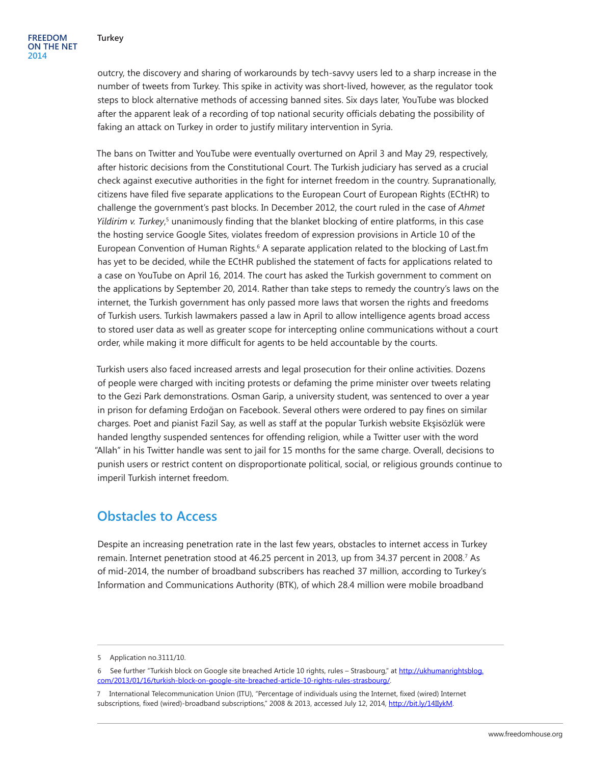outcry, the discovery and sharing of workarounds by tech-savvy users led to a sharp increase in the number of tweets from Turkey. This spike in activity was short-lived, however, as the regulator took steps to block alternative methods of accessing banned sites. Six days later, YouTube was blocked after the apparent leak of a recording of top national security officials debating the possibility of faking an attack on Turkey in order to justify military intervention in Syria.

The bans on Twitter and YouTube were eventually overturned on April 3 and May 29, respectively, after historic decisions from the Constitutional Court. The Turkish judiciary has served as a crucial check against executive authorities in the fight for internet freedom in the country. Supranationally, citizens have filed five separate applications to the European Court of European Rights (ECtHR) to challenge the government's past blocks. In December 2012, the court ruled in the case of *Ahmet*  Yildirim v. Turkey,<sup>5</sup> unanimously finding that the blanket blocking of entire platforms, in this case the hosting service Google Sites, violates freedom of expression provisions in Article 10 of the European Convention of Human Rights.<sup>6</sup> A separate application related to the blocking of Last.fm has yet to be decided, while the ECtHR published the statement of facts for applications related to a case on YouTube on April 16, 2014. The court has asked the Turkish government to comment on the applications by September 20, 2014. Rather than take steps to remedy the country's laws on the internet, the Turkish government has only passed more laws that worsen the rights and freedoms of Turkish users. Turkish lawmakers passed a law in April to allow intelligence agents broad access to stored user data as well as greater scope for intercepting online communications without a court order, while making it more difficult for agents to be held accountable by the courts.

Turkish users also faced increased arrests and legal prosecution for their online activities. Dozens of people were charged with inciting protests or defaming the prime minister over tweets relating to the Gezi Park demonstrations. Osman Garip, a university student, was sentenced to over a year in prison for defaming Erdoğan on Facebook. Several others were ordered to pay fines on similar charges. Poet and pianist Fazil Say, as well as staff at the popular Turkish website Ekşisözlük were handed lengthy suspended sentences for offending religion, while a Twitter user with the word "Allah" in his Twitter handle was sent to jail for 15 months for the same charge. Overall, decisions to punish users or restrict content on disproportionate political, social, or religious grounds continue to imperil Turkish internet freedom.

#### **Obstacles to Access**

Despite an increasing penetration rate in the last few years, obstacles to internet access in Turkey remain. Internet penetration stood at 46.25 percent in 2013, up from 34.37 percent in 2008.<sup>7</sup> As of mid-2014, the number of broadband subscribers has reached 37 million, according to Turkey's Information and Communications Authority (BTK), of which 28.4 million were mobile broadband

<sup>5</sup> Application no.3111/10.

<sup>6</sup> See further "Turkish block on Google site breached Article 10 rights, rules – Strasbourg," at [http://ukhumanrightsblog.](http://ukhumanrightsblog.com/2013/01/16/turkish-block-on-google-site-breached-article-10-rights-rules-strasbourg/) [com/2013/01/16/turkish-block-on-google-site-breached-article-10-rights-rules-strasbourg/](http://ukhumanrightsblog.com/2013/01/16/turkish-block-on-google-site-breached-article-10-rights-rules-strasbourg/).

<sup>7</sup> International Telecommunication Union (ITU), "Percentage of individuals using the Internet, fixed (wired) Internet subscriptions, fixed (wired)-broadband subscriptions," 2008 & 2013, accessed July 12, 2014, [http://bit.ly/14IIykM.](http://bit.ly/14IIykM)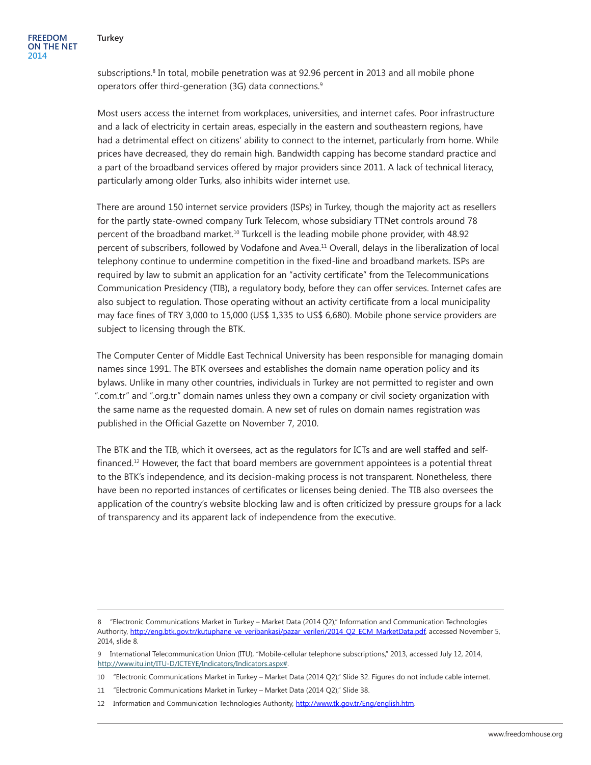subscriptions.<sup>8</sup> In total, mobile penetration was at 92.96 percent in 2013 and all mobile phone operators offer third-generation (3G) data connections.9

Most users access the internet from workplaces, universities, and internet cafes. Poor infrastructure and a lack of electricity in certain areas, especially in the eastern and southeastern regions, have had a detrimental effect on citizens' ability to connect to the internet, particularly from home. While prices have decreased, they do remain high. Bandwidth capping has become standard practice and a part of the broadband services offered by major providers since 2011. A lack of technical literacy, particularly among older Turks, also inhibits wider internet use.

There are around 150 internet service providers (ISPs) in Turkey, though the majority act as resellers for the partly state-owned company Turk Telecom, whose subsidiary TTNet controls around 78 percent of the broadband market.<sup>10</sup> Turkcell is the leading mobile phone provider, with 48.92 percent of subscribers, followed by Vodafone and Avea.11 Overall, delays in the liberalization of local telephony continue to undermine competition in the fixed-line and broadband markets. ISPs are required by law to submit an application for an "activity certificate" from the Telecommunications Communication Presidency (TIB), a regulatory body, before they can offer services. Internet cafes are also subject to regulation. Those operating without an activity certificate from a local municipality may face fines of TRY 3,000 to 15,000 (US\$ 1,335 to US\$ 6,680). Mobile phone service providers are subject to licensing through the BTK.

The Computer Center of Middle East Technical University has been responsible for managing domain names since 1991. The BTK oversees and establishes the domain name operation policy and its bylaws. Unlike in many other countries, individuals in Turkey are not permitted to register and own ".com.tr" and ".org.tr" domain names unless they own a company or civil society organization with the same name as the requested domain. A new set of rules on domain names registration was published in the Official Gazette on November 7, 2010.

The BTK and the TIB, which it oversees, act as the regulators for ICTs and are well staffed and selffinanced.12 However, the fact that board members are government appointees is a potential threat to the BTK's independence, and its decision-making process is not transparent. Nonetheless, there have been no reported instances of certificates or licenses being denied. The TIB also oversees the application of the country's website blocking law and is often criticized by pressure groups for a lack of transparency and its apparent lack of independence from the executive.

<sup>8 &</sup>quot;Electronic Communications Market in Turkey – Market Data (2014 Q2)," Information and Communication Technologies Authority, [http://eng.btk.gov.tr/kutuphane\\_ve\\_veribankasi/pazar\\_verileri/2014\\_Q2\\_ECM\\_MarketData.pdf,](http://eng.btk.gov.tr/kutuphane_ve_veribankasi/pazar_verileri/2014_Q2_ECM_MarketData.pdf) accessed November 5, 2014, slide 8.

<sup>9</sup> International Telecommunication Union (ITU), "Mobile-cellular telephone subscriptions," 2013, accessed July 12, 2014, [http://www.itu.int/ITU-D/ICTEYE/Indicators/Indicators.aspx#.](http://www.itu.int/ITU-D/ICTEYE/Indicators/Indicators.aspx)

<sup>10 &</sup>quot;Electronic Communications Market in Turkey – Market Data (2014 Q2)," Slide 32. Figures do not include cable internet.

<sup>11 &</sup>quot;Electronic Communications Market in Turkey – Market Data (2014 Q2)," Slide 38.

<sup>12</sup> Information and Communication Technologies Authority, <http://www.tk.gov.tr/Eng/english.htm>.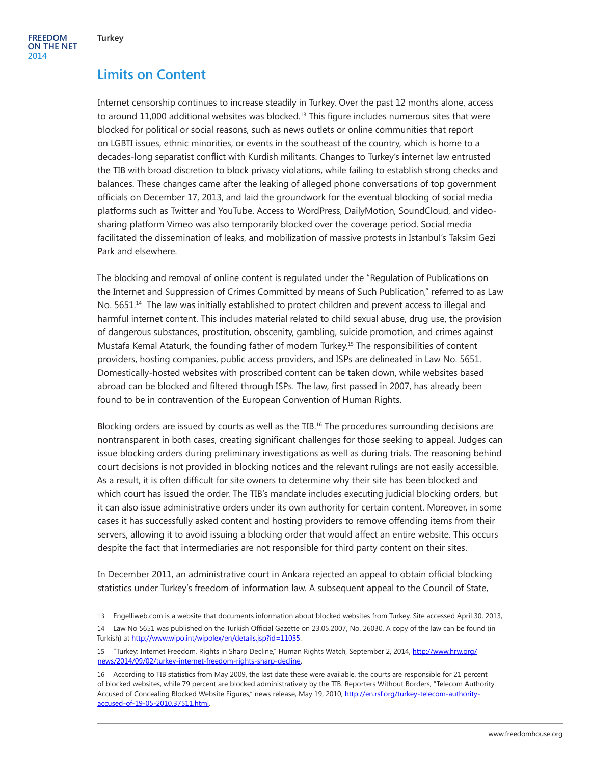### **Limits on Content**

Internet censorship continues to increase steadily in Turkey. Over the past 12 months alone, access to around 11,000 additional websites was blocked.<sup>13</sup> This figure includes numerous sites that were blocked for political or social reasons, such as news outlets or online communities that report on LGBTI issues, ethnic minorities, or events in the southeast of the country, which is home to a decades-long separatist conflict with Kurdish militants. Changes to Turkey's internet law entrusted the TIB with broad discretion to block privacy violations, while failing to establish strong checks and balances. These changes came after the leaking of alleged phone conversations of top government officials on December 17, 2013, and laid the groundwork for the eventual blocking of social media platforms such as Twitter and YouTube. Access to WordPress, DailyMotion, SoundCloud, and videosharing platform Vimeo was also temporarily blocked over the coverage period. Social media facilitated the dissemination of leaks, and mobilization of massive protests in Istanbul's Taksim Gezi Park and elsewhere.

The blocking and removal of online content is regulated under the "Regulation of Publications on the Internet and Suppression of Crimes Committed by means of Such Publication," referred to as Law No. 5651.<sup>14</sup> The law was initially established to protect children and prevent access to illegal and harmful internet content. This includes material related to child sexual abuse, drug use, the provision of dangerous substances, prostitution, obscenity, gambling, suicide promotion, and crimes against Mustafa Kemal Ataturk, the founding father of modern Turkey.15 The responsibilities of content providers, hosting companies, public access providers, and ISPs are delineated in Law No. 5651. Domestically-hosted websites with proscribed content can be taken down, while websites based abroad can be blocked and filtered through ISPs. The law, first passed in 2007, has already been found to be in contravention of the European Convention of Human Rights.

Blocking orders are issued by courts as well as the TIB.<sup>16</sup> The procedures surrounding decisions are nontransparent in both cases, creating significant challenges for those seeking to appeal. Judges can issue blocking orders during preliminary investigations as well as during trials. The reasoning behind court decisions is not provided in blocking notices and the relevant rulings are not easily accessible. As a result, it is often difficult for site owners to determine why their site has been blocked and which court has issued the order. The TIB's mandate includes executing judicial blocking orders, but it can also issue administrative orders under its own authority for certain content. Moreover, in some cases it has successfully asked content and hosting providers to remove offending items from their servers, allowing it to avoid issuing a blocking order that would affect an entire website. This occurs despite the fact that intermediaries are not responsible for third party content on their sites.

In December 2011, an administrative court in Ankara rejected an appeal to obtain official blocking statistics under Turkey's freedom of information law. A subsequent appeal to the Council of State,

<sup>13</sup> Engelliweb.com is a website that documents information about blocked websites from Turkey. Site accessed April 30, 2013,

<sup>14</sup> Law No 5651 was published on the Turkish Official Gazette on 23.05.2007, No. 26030. A copy of the law can be found (in Turkish) at<http://www.wipo.int/wipolex/en/details.jsp?id=11035>.

<sup>15</sup> "Turkey: Internet Freedom, Rights in Sharp Decline," Human Rights Watch, September 2, 2014, [http://www.hrw.org/](http://www.hrw.org/news/2014/09/02/turkey-internet-freedom-rights-sharp-decline) [news/2014/09/02/turkey-internet-freedom-rights-sharp-decline](http://www.hrw.org/news/2014/09/02/turkey-internet-freedom-rights-sharp-decline).

<sup>16</sup> According to TIB statistics from May 2009, the last date these were available, the courts are responsible for 21 percent of blocked websites, while 79 percent are blocked administratively by the TIB. Reporters Without Borders, "Telecom Authority Accused of Concealing Blocked Website Figures," news release, May 19, 2010, [http://en.rsf.org/turkey-telecom-authority](http://en.rsf.org/turkey-telecom-authority-accused-of-19-05-2010,37511.html)[accused-of-19-05-2010,37511.html.](http://en.rsf.org/turkey-telecom-authority-accused-of-19-05-2010,37511.html)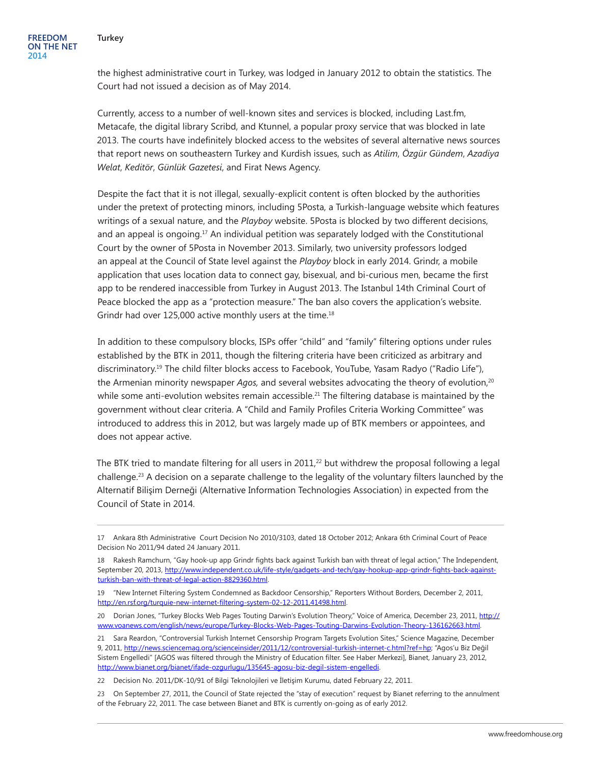the highest administrative court in Turkey, was lodged in January 2012 to obtain the statistics. The Court had not issued a decision as of May 2014.

Currently, access to a number of well-known sites and services is blocked, including Last.fm, Metacafe, the digital library Scribd, and Ktunnel, a popular proxy service that was blocked in late 2013. The courts have indefinitely blocked access to the websites of several alternative news sources that report news on southeastern Turkey and Kurdish issues, such as *Atilim*, *Özgür Gündem*, *Azadiya Welat*, *Keditör*, *Günlük Gazetesi*, and Firat News Agency.

Despite the fact that it is not illegal, sexually-explicit content is often blocked by the authorities under the pretext of protecting minors, including 5Posta, a Turkish-language website which features writings of a sexual nature, and the *Playboy* website. 5Posta is blocked by two different decisions, and an appeal is ongoing.<sup>17</sup> An individual petition was separately lodged with the Constitutional Court by the owner of 5Posta in November 2013. Similarly, two university professors lodged an appeal at the Council of State level against the *Playboy* block in early 2014. Grindr, a mobile application that uses location data to connect gay, bisexual, and bi-curious men, became the first app to be rendered inaccessible from Turkey in August 2013. The Istanbul 14th Criminal Court of Peace blocked the app as a "protection measure." The ban also covers the application's website. Grindr had over  $125,000$  active monthly users at the time.<sup>18</sup>

In addition to these compulsory blocks, ISPs offer "child" and "family" filtering options under rules established by the BTK in 2011, though the filtering criteria have been criticized as arbitrary and discriminatory.19 The child filter blocks access to Facebook, YouTube, Yasam Radyo ("Radio Life"), the Armenian minority newspaper *Agos*, and several websites advocating the theory of evolution,<sup>20</sup> while some anti-evolution websites remain accessible.<sup>21</sup> The filtering database is maintained by the government without clear criteria. A "Child and Family Profiles Criteria Working Committee" was introduced to address this in 2012, but was largely made up of BTK members or appointees, and does not appear active.

The BTK tried to mandate filtering for all users in  $2011<sup>22</sup>$  but withdrew the proposal following a legal challenge.<sup>23</sup> A decision on a separate challenge to the legality of the voluntary filters launched by the Alternatif Bilişim Derneği (Alternative Information Technologies Association) in expected from the Council of State in 2014.

22 Decision No. 2011/DK-10/91 of Bilgi Teknolojileri ve İletişim Kurumu, dated February 22, 2011.

<sup>17</sup> Ankara 8th Administrative Court Decision No 2010/3103, dated 18 October 2012; Ankara 6th Criminal Court of Peace Decision No 2011/94 dated 24 January 2011.

<sup>18</sup> Rakesh Ramchurn, "Gay hook-up app Grindr fights back against Turkish ban with threat of legal action," The Independent, September 20, 2013, [http://www.independent.co.uk/life-style/gadgets-and-tech/gay-hookup-app-grindr-fights-back-against](http://www.independent.co.uk/life-style/gadgets-and-tech/gay-hookup-app-grindr-fights-back-against-turkish-ban-with-threat-of-legal-action-8829360.html)[turkish-ban-with-threat-of-legal-action-8829360.html](http://www.independent.co.uk/life-style/gadgets-and-tech/gay-hookup-app-grindr-fights-back-against-turkish-ban-with-threat-of-legal-action-8829360.html).

<sup>19 &</sup>quot;New Internet Filtering System Condemned as Backdoor Censorship," Reporters Without Borders, December 2, 2011, <http://en.rsf.org/turquie-new-internet-filtering-system-02-12-2011,41498.html>.

<sup>20</sup> Dorian Jones, "Turkey Blocks Web Pages Touting Darwin's Evolution Theory," Voice of America, December 23, 2011, [http://](http://www.voanews.com/english/news/europe/Turkey-Blocks-Web-Pages-Touting-Darwins-Evolution-Theory-136162663.html) [www.voanews.com/english/news/europe/Turkey-Blocks-Web-Pages-Touting-Darwins-Evolution-Theory-136162663.html](http://www.voanews.com/english/news/europe/Turkey-Blocks-Web-Pages-Touting-Darwins-Evolution-Theory-136162663.html).

<sup>21</sup> Sara Reardon, "Controversial Turkish Internet Censorship Program Targets Evolution Sites," Science Magazine, December 9, 2011, [http://news.sciencemag.org/scienceinsider/2011/12/controversial-turkish-internet-c.html?ref=hp;](http://news.sciencemag.org/scienceinsider/2011/12/controversial-turkish-internet-c.html?ref=hp) "Agos'u Biz Değil Sistem Engelledi" [AGOS was filtered through the Ministry of Education filter. See Haber Merkezi], Bianet, January 23, 2012, [http://www.bianet.org/bianet/ifade-ozgurlugu/135645-agosu-biz-degil-sistem-engelledi.](http://www.bianet.org/bianet/ifade-ozgurlugu/135645-agosu-biz-degil-sistem-engelledi)

<sup>23</sup> On September 27, 2011, the Council of State rejected the "stay of execution" request by Bianet referring to the annulment of the February 22, 2011. The case between Bianet and BTK is currently on-going as of early 2012.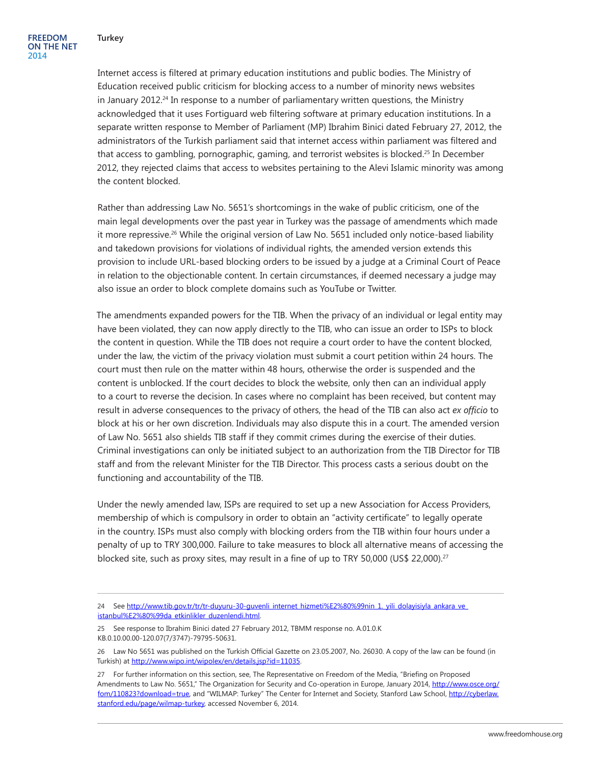Internet access is filtered at primary education institutions and public bodies. The Ministry of Education received public criticism for blocking access to a number of minority news websites in January 2012.24 In response to a number of parliamentary written questions, the Ministry acknowledged that it uses Fortiguard web filtering software at primary education institutions. In a separate written response to Member of Parliament (MP) Ibrahim Binici dated February 27, 2012, the administrators of the Turkish parliament said that internet access within parliament was filtered and that access to gambling, pornographic, gaming, and terrorist websites is blocked.25 In December 2012, they rejected claims that access to websites pertaining to the Alevi Islamic minority was among the content blocked.

Rather than addressing Law No. 5651's shortcomings in the wake of public criticism, one of the main legal developments over the past year in Turkey was the passage of amendments which made it more repressive.<sup>26</sup> While the original version of Law No. 5651 included only notice-based liability and takedown provisions for violations of individual rights, the amended version extends this provision to include URL-based blocking orders to be issued by a judge at a Criminal Court of Peace in relation to the objectionable content. In certain circumstances, if deemed necessary a judge may also issue an order to block complete domains such as YouTube or Twitter.

The amendments expanded powers for the TIB. When the privacy of an individual or legal entity may have been violated, they can now apply directly to the TIB, who can issue an order to ISPs to block the content in question. While the TIB does not require a court order to have the content blocked, under the law, the victim of the privacy violation must submit a court petition within 24 hours. The court must then rule on the matter within 48 hours, otherwise the order is suspended and the content is unblocked. If the court decides to block the website, only then can an individual apply to a court to reverse the decision. In cases where no complaint has been received, but content may result in adverse consequences to the privacy of others, the head of the TIB can also act *ex officio* to block at his or her own discretion. Individuals may also dispute this in a court. The amended version of Law No. 5651 also shields TIB staff if they commit crimes during the exercise of their duties. Criminal investigations can only be initiated subject to an authorization from the TIB Director for TIB staff and from the relevant Minister for the TIB Director. This process casts a serious doubt on the functioning and accountability of the TIB.

Under the newly amended law, ISPs are required to set up a new Association for Access Providers, membership of which is compulsory in order to obtain an "activity certificate" to legally operate in the country. ISPs must also comply with blocking orders from the TIB within four hours under a penalty of up to TRY 300,000. Failure to take measures to block all alternative means of accessing the blocked site, such as proxy sites, may result in a fine of up to TRY 50,000 (US\$ 22,000).<sup>27</sup>

25 See response to Ibrahim Binici dated 27 February 2012, TBMM response no. A.01.0.K KB.0.10.00.00-120.07(7/3747)-79795-50631.

<sup>24</sup> See [http://www.tib.gov.tr/tr/tr-duyuru-30-guvenli\\_internet\\_hizmeti%E2%80%99nin\\_1.\\_yili\\_dolayisiyla\\_ankara\\_ve\\_](http://www.tib.gov.tr/tr/tr-duyuru-30-guvenli_internet_hizmeti%E2%80%99nin_1._yili_dolayisiyla_ankara_ve_istanbul%E2%80%99da_etkinlikler_duzenlendi.html) [istanbul%E2%80%99da\\_etkinlikler\\_duzenlendi.html](http://www.tib.gov.tr/tr/tr-duyuru-30-guvenli_internet_hizmeti%E2%80%99nin_1._yili_dolayisiyla_ankara_ve_istanbul%E2%80%99da_etkinlikler_duzenlendi.html).

<sup>26</sup> Law No 5651 was published on the Turkish Official Gazette on 23.05.2007, No. 26030. A copy of the law can be found (in Turkish) at<http://www.wipo.int/wipolex/en/details.jsp?id=11035>.

<sup>27</sup> For further information on this section, see, The Representative on Freedom of the Media, "Briefing on Proposed Amendments to Law No. 5651," The Organization for Security and Co-operation in Europe, January 2014, [http://www.osce.org/](http://www.osce.org/fom/110823?download=true) [fom/110823?download=true](http://www.osce.org/fom/110823?download=true), and "WILMAP: Turkey" The Center for Internet and Society, Stanford Law School, [http://cyberlaw.](http://cyberlaw.stanford.edu/page/wilmap-turkey) [stanford.edu/page/wilmap-turkey,](http://cyberlaw.stanford.edu/page/wilmap-turkey) accessed November 6, 2014.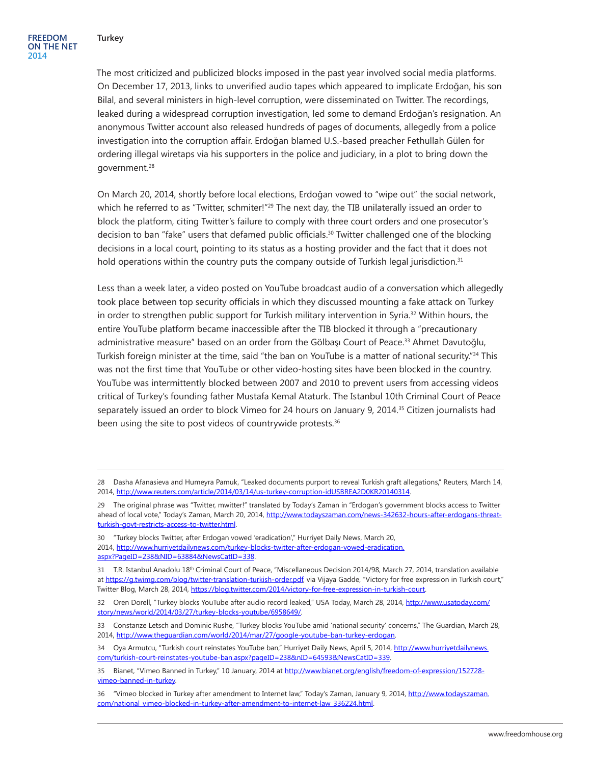The most criticized and publicized blocks imposed in the past year involved social media platforms. On December 17, 2013, links to unverified audio tapes which appeared to implicate Erdoğan, his son Bilal, and several ministers in high-level corruption, were disseminated on Twitter. The recordings, leaked during a widespread corruption investigation, led some to demand Erdoğan's resignation. An anonymous Twitter account also released hundreds of pages of documents, allegedly from a police investigation into the corruption affair. Erdoğan blamed U.S.-based preacher Fethullah Gülen for ordering illegal wiretaps via his supporters in the police and judiciary, in a plot to bring down the government.28

On March 20, 2014, shortly before local elections, Erdoğan vowed to "wipe out" the social network, which he referred to as "Twitter, schmiter!"<sup>29</sup> The next day, the TIB unilaterally issued an order to block the platform, citing Twitter's failure to comply with three court orders and one prosecutor's decision to ban "fake" users that defamed public officials.30 Twitter challenged one of the blocking decisions in a local court, pointing to its status as a hosting provider and the fact that it does not hold operations within the country puts the company outside of Turkish legal jurisdiction.<sup>31</sup>

Less than a week later, a video posted on YouTube broadcast audio of a conversation which allegedly took place between top security officials in which they discussed mounting a fake attack on Turkey in order to strengthen public support for Turkish military intervention in Syria.32 Within hours, the entire YouTube platform became inaccessible after the TIB blocked it through a "precautionary administrative measure" based on an order from the Gölbaşı Court of Peace.<sup>33</sup> Ahmet Davutoğlu, Turkish foreign minister at the time, said "the ban on YouTube is a matter of national security."<sup>34</sup> This was not the first time that YouTube or other video-hosting sites have been blocked in the country. YouTube was intermittently blocked between 2007 and 2010 to prevent users from accessing videos critical of Turkey's founding father Mustafa Kemal Ataturk. The Istanbul 10th Criminal Court of Peace separately issued an order to block Vimeo for 24 hours on January 9, 2014.35 Citizen journalists had been using the site to post videos of countrywide protests.<sup>36</sup>

30 "Turkey blocks Twitter, after Erdogan vowed 'eradication'," Hurriyet Daily News, March 20, 2014, [http://www.hurriyetdailynews.com/turkey-blocks-twitter-after-erdogan-vowed-eradication.](http://www.hurriyetdailynews.com/turkey-blocks-twitter-after-erdogan-vowed-eradication.aspx?PageID=238&NID=63884&NewsCatID=338) [aspx?PageID=238&NID=63884&NewsCatID=338](http://www.hurriyetdailynews.com/turkey-blocks-twitter-after-erdogan-vowed-eradication.aspx?PageID=238&NID=63884&NewsCatID=338).

33 Constanze Letsch and Dominic Rushe, "Turkey blocks YouTube amid 'national security' concerns," The Guardian, March 28, 2014, <http://www.theguardian.com/world/2014/mar/27/google-youtube-ban-turkey-erdogan>.

34 Oya Armutcu, "Turkish court reinstates YouTube ban," Hurriyet Daily News, April 5, 2014, [http://www.hurriyetdailynews.](http://www.hurriyetdailynews.com/turkish-court-reinstates-youtube-ban.aspx?pageID=238&nID=64593&NewsCatID=339) [com/turkish-court-reinstates-youtube-ban.aspx?pageID=238&nID=64593&NewsCatID=339](http://www.hurriyetdailynews.com/turkish-court-reinstates-youtube-ban.aspx?pageID=238&nID=64593&NewsCatID=339).

35 Bianet, "Vimeo Banned in Turkey," 10 January, 2014 at [http://www.bianet.org/english/freedom-of-expression/152728](http://www.bianet.org/english/freedom-of-expression/152728-vimeo-banned-in-turkey) [vimeo-banned-in-turkey](http://www.bianet.org/english/freedom-of-expression/152728-vimeo-banned-in-turkey).

<sup>28</sup> Dasha Afanasieva and Humeyra Pamuk, "Leaked documents purport to reveal Turkish graft allegations," Reuters, March 14, 2014, [http://www.reuters.com/article/2014/03/14/us-turkey-corruption-idUSBREA2D0KR20140314.](http://www.reuters.com/article/2014/03/14/us-turkey-corruption-idUSBREA2D0KR20140314)

<sup>29</sup> The original phrase was "Twitter, mwitter!" translated by Today's Zaman in "Erdogan's government blocks access to Twitter ahead of local vote," Today's Zaman, March 20, 2014, [http://www.todayszaman.com/news-342632-hours-after-erdogans-threat](http://www.todayszaman.com/news-342632-hours-after-erdogans-threat-turkish-govt-restricts-access-to-twitter.html)[turkish-govt-restricts-access-to-twitter.html](http://www.todayszaman.com/news-342632-hours-after-erdogans-threat-turkish-govt-restricts-access-to-twitter.html).

<sup>31</sup> T.R. Istanbul Anadolu 18th Criminal Court of Peace, "Miscellaneous Decision 2014/98, March 27, 2014, translation available at<https://g.twimg.com/blog/twitter-translation-turkish-order.pdf>, via Vijaya Gadde, "Victory for free expression in Turkish court," Twitter Blog, March 28, 2014, <https://blog.twitter.com/2014/victory-for-free-expression-in-turkish-court>.

<sup>32</sup> Oren Dorell, "Turkey blocks YouTube after audio record leaked," USA Today, March 28, 2014, [http://www.usatoday.com/](http://www.usatoday.com/story/news/world/2014/03/27/turkey-blocks-youtube/6958649/) [story/news/world/2014/03/27/turkey-blocks-youtube/6958649/.](http://www.usatoday.com/story/news/world/2014/03/27/turkey-blocks-youtube/6958649/)

<sup>36 &</sup>quot;Vimeo blocked in Turkey after amendment to Internet law," Today's Zaman, January 9, 2014, [http://www.todayszaman.](http://www.todayszaman.com/national_vimeo-blocked-in-turkey-after-amendment-to-internet-law_336224.html) [com/national\\_vimeo-blocked-in-turkey-after-amendment-to-internet-law\\_336224.html](http://www.todayszaman.com/national_vimeo-blocked-in-turkey-after-amendment-to-internet-law_336224.html).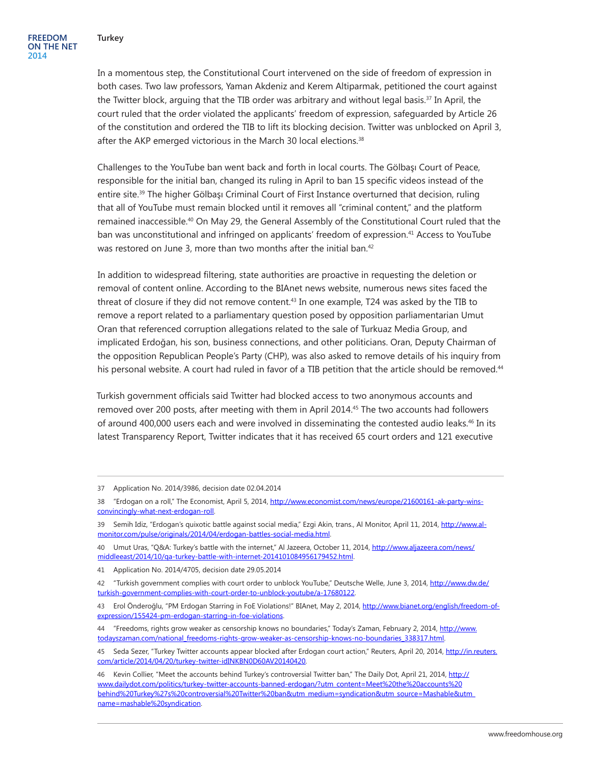In a momentous step, the Constitutional Court intervened on the side of freedom of expression in both cases. Two law professors, Yaman Akdeniz and Kerem Altiparmak, petitioned the court against the Twitter block, arguing that the TIB order was arbitrary and without legal basis.37 In April, the court ruled that the order violated the applicants' freedom of expression, safeguarded by Article 26 of the constitution and ordered the TIB to lift its blocking decision. Twitter was unblocked on April 3, after the AKP emerged victorious in the March 30 local elections.<sup>38</sup>

Challenges to the YouTube ban went back and forth in local courts. The Gölbaşı Court of Peace, responsible for the initial ban, changed its ruling in April to ban 15 specific videos instead of the entire site.<sup>39</sup> The higher Gölbası Criminal Court of First Instance overturned that decision, ruling that all of YouTube must remain blocked until it removes all "criminal content," and the platform remained inaccessible.40 On May 29, the General Assembly of the Constitutional Court ruled that the ban was unconstitutional and infringed on applicants' freedom of expression.41 Access to YouTube was restored on June 3, more than two months after the initial ban.<sup>42</sup>

In addition to widespread filtering, state authorities are proactive in requesting the deletion or removal of content online. According to the BIAnet news website, numerous news sites faced the threat of closure if they did not remove content.<sup>43</sup> In one example, T24 was asked by the TIB to remove a report related to a parliamentary question posed by opposition parliamentarian Umut Oran that referenced corruption allegations related to the sale of Turkuaz Media Group, and implicated Erdoğan, his son, business connections, and other politicians. Oran, Deputy Chairman of the opposition Republican People's Party (CHP), was also asked to remove details of his inquiry from his personal website. A court had ruled in favor of a TIB petition that the article should be removed.<sup>44</sup>

Turkish government officials said Twitter had blocked access to two anonymous accounts and removed over 200 posts, after meeting with them in April 2014.<sup>45</sup> The two accounts had followers of around 400,000 users each and were involved in disseminating the contested audio leaks.46 In its latest Transparency Report, Twitter indicates that it has received 65 court orders and 121 executive

<sup>37</sup> Application No. 2014/3986, decision date 02.04.2014

<sup>38 &</sup>quot;Erdogan on a roll," The Economist, April 5, 2014, [http://www.economist.com/news/europe/21600161-ak-party-wins](http://www.economist.com/news/europe/21600161-ak-party-wins-convincingly-what-next-erdogan-roll)[convincingly-what-next-erdogan-roll.](http://www.economist.com/news/europe/21600161-ak-party-wins-convincingly-what-next-erdogan-roll)

<sup>39</sup> Semih Idiz, "Erdogan's quixotic battle against social media," Ezgi Akin, trans., Al Monitor, April 11, 2014, [http://www.al](http://www.al-monitor.com/pulse/originals/2014/04/erdogan-battles-social-media.html)[monitor.com/pulse/originals/2014/04/erdogan-battles-social-media.html.](http://www.al-monitor.com/pulse/originals/2014/04/erdogan-battles-social-media.html)

<sup>40</sup> Umut Uras, "Q&A: Turkey's battle with the internet," Al Jazeera, October 11, 2014, [http://www.aljazeera.com/news/](http://www.aljazeera.com/news/middleeast/2014/10/qa-turkey-battle-with-internet-2014101084956179452.html) [middleeast/2014/10/qa-turkey-battle-with-internet-2014101084956179452.html](http://www.aljazeera.com/news/middleeast/2014/10/qa-turkey-battle-with-internet-2014101084956179452.html).

<sup>41</sup> Application No. 2014/4705, decision date 29.05.2014

<sup>42 &</sup>quot;Turkish government complies with court order to unblock YouTube," Deutsche Welle, June 3, 2014, [http://www.dw.de/](http://www.dw.de/turkish-government-complies-with-court-order-to-unblock-youtube/a-17680122) [turkish-government-complies-with-court-order-to-unblock-youtube/a-17680122](http://www.dw.de/turkish-government-complies-with-court-order-to-unblock-youtube/a-17680122).

<sup>43</sup> Erol Önderoğlu, "PM Erdogan Starring in FoE Violations!" BIAnet, May 2, 2014, [http://www.bianet.org/english/freedom-of](http://www.bianet.org/english/freedom-of-expression/155424-pm-erdogan-starring-in-foe-violations)[expression/155424-pm-erdogan-starring-in-foe-violations](http://www.bianet.org/english/freedom-of-expression/155424-pm-erdogan-starring-in-foe-violations).

<sup>44</sup> "Freedoms, rights grow weaker as censorship knows no boundaries," Today's Zaman, February 2, 2014, [http://www.](http://www.todayszaman.com/national_freedoms-rights-grow-weaker-as-censorship-knows-no-boundaries_338317.html) [todayszaman.com/national\\_freedoms-rights-grow-weaker-as-censorship-knows-no-boundaries\\_338317.html](http://www.todayszaman.com/national_freedoms-rights-grow-weaker-as-censorship-knows-no-boundaries_338317.html).

<sup>45</sup> Seda Sezer, "Turkey Twitter accounts appear blocked after Erdogan court action," Reuters, April 20, 2014, [http://in.reuters.](http://in.reuters.com/article/2014/04/20/turkey-twitter-idINKBN0D60AV20140420) [com/article/2014/04/20/turkey-twitter-idINKBN0D60AV20140420.](http://in.reuters.com/article/2014/04/20/turkey-twitter-idINKBN0D60AV20140420)

<sup>46</sup> Kevin Collier, "Meet the accounts behind Turkey's controversial Twitter ban," The Daily Dot, April 21, 2014, [http://](http://www.dailydot.com/politics/turkey-twitter-accounts-banned-erdogan/?utm_content=Meet the accounts behind Turkey%27s controversial Twitter ban&utm_medium=syndication&utm_source=Mashable&utm_name=mashable syndication) [www.dailydot.com/politics/turkey-twitter-accounts-banned-erdogan/?utm\\_content=Meet%20the%20accounts%20](http://www.dailydot.com/politics/turkey-twitter-accounts-banned-erdogan/?utm_content=Meet the accounts behind Turkey%27s controversial Twitter ban&utm_medium=syndication&utm_source=Mashable&utm_name=mashable syndication) [behind%20Turkey%27s%20controversial%20Twitter%20ban&utm\\_medium=syndication&utm\\_source=Mashable&utm\\_](http://www.dailydot.com/politics/turkey-twitter-accounts-banned-erdogan/?utm_content=Meet the accounts behind Turkey%27s controversial Twitter ban&utm_medium=syndication&utm_source=Mashable&utm_name=mashable syndication) [name=mashable%20syndication](http://www.dailydot.com/politics/turkey-twitter-accounts-banned-erdogan/?utm_content=Meet the accounts behind Turkey%27s controversial Twitter ban&utm_medium=syndication&utm_source=Mashable&utm_name=mashable syndication).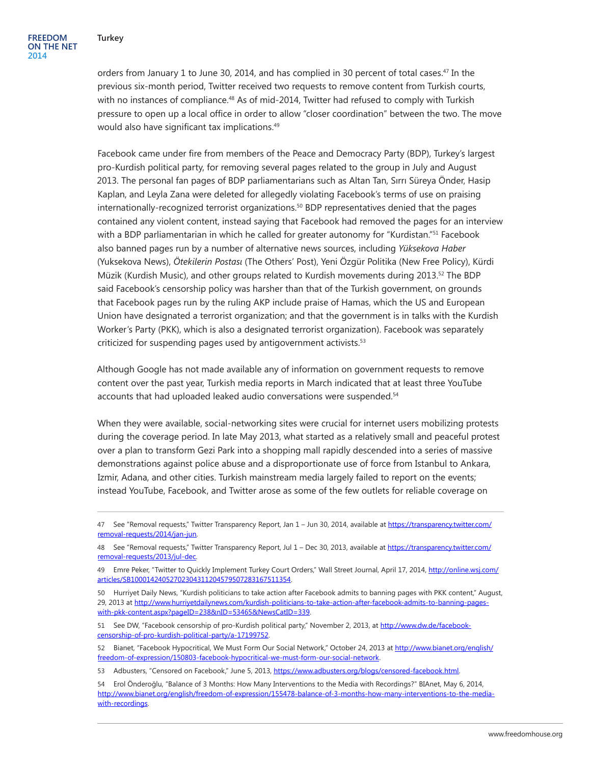orders from January 1 to June 30, 2014, and has complied in 30 percent of total cases.47 In the previous six-month period, Twitter received two requests to remove content from Turkish courts, with no instances of compliance.<sup>48</sup> As of mid-2014, Twitter had refused to comply with Turkish pressure to open up a local office in order to allow "closer coordination" between the two. The move would also have significant tax implications.<sup>49</sup>

Facebook came under fire from members of the Peace and Democracy Party (BDP), Turkey's largest pro-Kurdish political party, for removing several pages related to the group in July and August 2013. The personal fan pages of BDP parliamentarians such as Altan Tan, Sırrı Süreya Önder, Hasip Kaplan, and Leyla Zana were deleted for allegedly violating Facebook's terms of use on praising internationally-recognized terrorist organizations.50 BDP representatives denied that the pages contained any violent content, instead saying that Facebook had removed the pages for an interview with a BDP parliamentarian in which he called for greater autonomy for "Kurdistan."<sup>51</sup> Facebook also banned pages run by a number of alternative news sources, including *Yüksekova Haber* (Yuksekova News), *Ötekilerin Postası* (The Others' Post), Yeni Özgür Politika (New Free Policy), Kürdi Müzik (Kurdish Music), and other groups related to Kurdish movements during 2013.<sup>52</sup> The BDP said Facebook's censorship policy was harsher than that of the Turkish government, on grounds that Facebook pages run by the ruling AKP include praise of Hamas, which the US and European Union have designated a terrorist organization; and that the government is in talks with the Kurdish Worker's Party (PKK), which is also a designated terrorist organization). Facebook was separately criticized for suspending pages used by antigovernment activists.<sup>53</sup>

Although Google has not made available any of information on government requests to remove content over the past year, Turkish media reports in March indicated that at least three YouTube accounts that had uploaded leaked audio conversations were suspended.<sup>54</sup>

When they were available, social-networking sites were crucial for internet users mobilizing protests during the coverage period. In late May 2013, what started as a relatively small and peaceful protest over a plan to transform Gezi Park into a shopping mall rapidly descended into a series of massive demonstrations against police abuse and a disproportionate use of force from Istanbul to Ankara, Izmir, Adana, and other cities. Turkish mainstream media largely failed to report on the events; instead YouTube, Facebook, and Twitter arose as some of the few outlets for reliable coverage on

51 See DW, "Facebook censorship of pro-Kurdish political party," November 2, 2013, at [http://www.dw.de/facebook](http://www.dw.de/facebook-censorship-of-pro-kurdish-political-party/a-17199752)[censorship-of-pro-kurdish-political-party/a-17199752](http://www.dw.de/facebook-censorship-of-pro-kurdish-political-party/a-17199752).

<sup>47</sup> See "Removal requests," Twitter Transparency Report, Jan 1 - Jun 30, 2014, available at [https://transparency.twitter.com/](https://transparency.twitter.com/removal-requests/2014/jan-jun) [removal-requests/2014/jan-jun.](https://transparency.twitter.com/removal-requests/2014/jan-jun)

<sup>48</sup> See "Removal requests," Twitter Transparency Report, Jul 1 – Dec 30, 2013, available at [https://transparency.twitter.com/](https://transparency.twitter.com/removal-requests/2013/jul-dec) [removal-requests/2013/jul-dec](https://transparency.twitter.com/removal-requests/2013/jul-dec).

<sup>49</sup> Emre Peker, "Twitter to Quickly Implement Turkey Court Orders," Wall Street Journal, April 17, 2014, [http://online.wsj.com/](http://online.wsj.com/articles/SB10001424052702304311204579507283167511354) [articles/SB10001424052702304311204579507283167511354](http://online.wsj.com/articles/SB10001424052702304311204579507283167511354).

<sup>50</sup> Hurriyet Daily News, "Kurdish politicians to take action after Facebook admits to banning pages with PKK content," August, 29, 2013 at [http://www.hurriyetdailynews.com/kurdish-politicians-to-take-action-after-facebook-admits-to-banning-pages](http://www.hurriyetdailynews.com/kurdish-politicians-to-take-action-after-facebook-admits-to-banning-pages-with-pkk-content.aspx?pageID=238&nID=53465&NewsCatID=339)[with-pkk-content.aspx?pageID=238&nID=53465&NewsCatID=339](http://www.hurriyetdailynews.com/kurdish-politicians-to-take-action-after-facebook-admits-to-banning-pages-with-pkk-content.aspx?pageID=238&nID=53465&NewsCatID=339).

<sup>52</sup> Bianet, "Facebook Hypocritical, We Must Form Our Social Network," October 24, 2013 at [http://www.bianet.org/english/](http://www.bianet.org/english/freedom-of-expression/150803-facebook-hypocritical-we-must-form-our-social-network) [freedom-of-expression/150803-facebook-hypocritical-we-must-form-our-social-network](http://www.bianet.org/english/freedom-of-expression/150803-facebook-hypocritical-we-must-form-our-social-network).

<sup>53</sup> Adbusters, "Censored on Facebook," June 5, 2013, [https://www.adbusters.org/blogs/censored-facebook.html.](https://www.adbusters.org/blogs/censored-facebook.html)

<sup>54</sup> Erol Önderoğlu, "Balance of 3 Months: How Many Interventions to the Media with Recordings?" BIAnet, May 6, 2014, [http://www.bianet.org/english/freedom-of-expression/155478-balance-of-3-months-how-many-interventions-to-the-media](http://www.bianet.org/english/freedom-of-expression/155478-balance-of-3-months-how-many-interventions-to-the-media-with-recordings)[with-recordings](http://www.bianet.org/english/freedom-of-expression/155478-balance-of-3-months-how-many-interventions-to-the-media-with-recordings).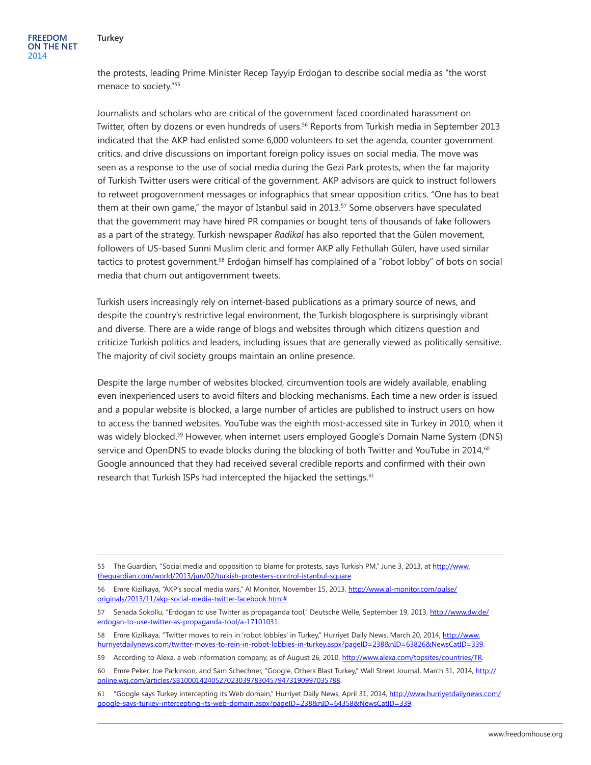the protests, leading Prime Minister Recep Tayyip Erdoğan to describe social media as "the worst menace to society."55

Journalists and scholars who are critical of the government faced coordinated harassment on Twitter, often by dozens or even hundreds of users.<sup>56</sup> Reports from Turkish media in September 2013 indicated that the AKP had enlisted some 6,000 volunteers to set the agenda, counter government critics, and drive discussions on important foreign policy issues on social media. The move was seen as a response to the use of social media during the Gezi Park protests, when the far majority of Turkish Twitter users were critical of the government. AKP advisors are quick to instruct followers to retweet progovernment messages or infographics that smear opposition critics. "One has to beat them at their own game," the mayor of Istanbul said in 2013.<sup>57</sup> Some observers have speculated that the government may have hired PR companies or bought tens of thousands of fake followers as a part of the strategy. Turkish newspaper *Radikal* has also reported that the Gülen movement, followers of US-based Sunni Muslim cleric and former AKP ally Fethullah Gülen, have used similar tactics to protest government.<sup>58</sup> Erdoğan himself has complained of a "robot lobby" of bots on social media that churn out antigovernment tweets.

Turkish users increasingly rely on internet-based publications as a primary source of news, and despite the country's restrictive legal environment, the Turkish blogosphere is surprisingly vibrant and diverse. There are a wide range of blogs and websites through which citizens question and criticize Turkish politics and leaders, including issues that are generally viewed as politically sensitive. The majority of civil society groups maintain an online presence.

Despite the large number of websites blocked, circumvention tools are widely available, enabling even inexperienced users to avoid filters and blocking mechanisms. Each time a new order is issued and a popular website is blocked, a large number of articles are published to instruct users on how to access the banned websites. YouTube was the eighth most-accessed site in Turkey in 2010, when it was widely blocked.<sup>59</sup> However, when internet users employed Google's Domain Name System (DNS) service and OpenDNS to evade blocks during the blocking of both Twitter and YouTube in  $2014<sup>60</sup>$ Google announced that they had received several credible reports and confirmed with their own research that Turkish ISPs had intercepted the hijacked the settings.<sup>61</sup>

<sup>55</sup> The Guardian, "Social media and opposition to blame for protests, says Turkish PM," June 3, 2013, at [http://www.](http://www.theguardian.com/world/2013/jun/02/turkish-protesters-control-istanbul-square) [theguardian.com/world/2013/jun/02/turkish-protesters-control-istanbul-square.](http://www.theguardian.com/world/2013/jun/02/turkish-protesters-control-istanbul-square)

<sup>56</sup> Emre Kizilkaya, "AKP's social media wars," Al Monitor, November 15, 2013, [http://www.al-monitor.com/pulse/](http://www.al-monitor.com/pulse/originals/2013/11/akp-social-media-twitter-facebook.html) [originals/2013/11/akp-social-media-twitter-facebook.html#.](http://www.al-monitor.com/pulse/originals/2013/11/akp-social-media-twitter-facebook.html)

<sup>57</sup> Senada Sokollu, "Erdogan to use Twitter as propaganda tool," Deutsche Welle, September 19, 2013, [http://www.dw.de/](http://www.dw.de/erdogan-to-use-twitter-as-propaganda-tool/a-17101031) [erdogan-to-use-twitter-as-propaganda-tool/a-17101031](http://www.dw.de/erdogan-to-use-twitter-as-propaganda-tool/a-17101031).

<sup>58</sup> Emre Kizilkaya, "Twitter moves to rein in 'robot lobbies' in Turkey," Hurriyet Daily News, March 20, 2014, [http://www.](http://www.hurriyetdailynews.com/twitter-moves-to-rein-in-robot-lobbies-in-turkey.aspx?pageID=238&nID=63826&NewsCatID=339) [hurriyetdailynews.com/twitter-moves-to-rein-in-robot-lobbies-in-turkey.aspx?pageID=238&nID=63826&NewsCatID=339](http://www.hurriyetdailynews.com/twitter-moves-to-rein-in-robot-lobbies-in-turkey.aspx?pageID=238&nID=63826&NewsCatID=339).

<sup>59</sup> According to Alexa, a web information company, as of August 26, 2010, [http://www.alexa.com/topsites/countries/TR.](http://www.alexa.com/topsites/countries/TR)

<sup>60</sup> Emre Peker, Joe Parkinson, and Sam Schechner, "Google, Others Blast Turkey," Wall Street Journal, March 31, 2014, [http://](http://online.wsj.com/articles/SB10001424052702303978304579473190997035788) [online.wsj.com/articles/SB10001424052702303978304579473190997035788.](http://online.wsj.com/articles/SB10001424052702303978304579473190997035788)

<sup>61 &</sup>quot;Google says Turkey intercepting its Web domain," Hurriyet Daily News, April 31, 2014, [http://www.hurriyetdailynews.com/](http://www.hurriyetdailynews.com/google-says-turkey-intercepting-its-web-domain.aspx?pageID=238&nID=64358&NewsCatID=339) [google-says-turkey-intercepting-its-web-domain.aspx?pageID=238&nID=64358&NewsCatID=339](http://www.hurriyetdailynews.com/google-says-turkey-intercepting-its-web-domain.aspx?pageID=238&nID=64358&NewsCatID=339).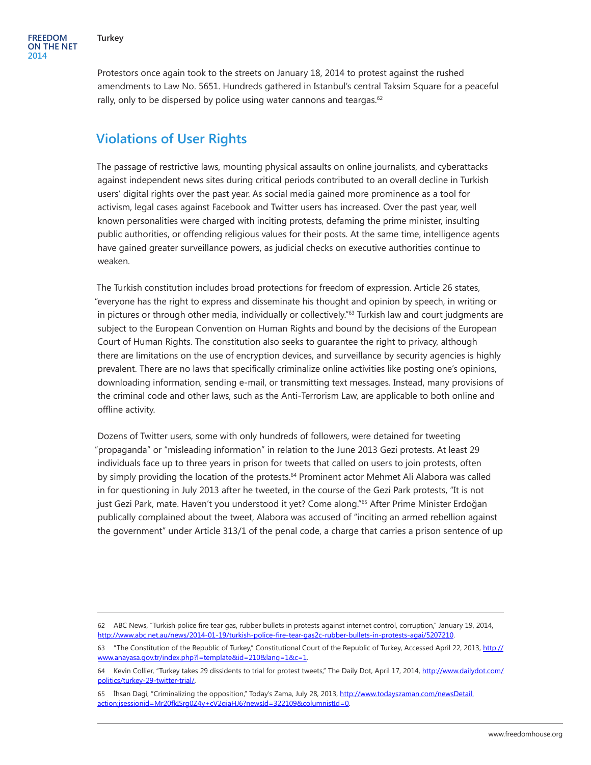Protestors once again took to the streets on January 18, 2014 to protest against the rushed amendments to Law No. 5651. Hundreds gathered in Istanbul's central Taksim Square for a peaceful rally, only to be dispersed by police using water cannons and teargas.<sup>62</sup>

## **Violations of User Rights**

The passage of restrictive laws, mounting physical assaults on online journalists, and cyberattacks against independent news sites during critical periods contributed to an overall decline in Turkish users' digital rights over the past year. As social media gained more prominence as a tool for activism, legal cases against Facebook and Twitter users has increased. Over the past year, well known personalities were charged with inciting protests, defaming the prime minister, insulting public authorities, or offending religious values for their posts. At the same time, intelligence agents have gained greater surveillance powers, as judicial checks on executive authorities continue to weaken.

The Turkish constitution includes broad protections for freedom of expression. Article 26 states, "everyone has the right to express and disseminate his thought and opinion by speech, in writing or in pictures or through other media, individually or collectively."63 Turkish law and court judgments are subject to the European Convention on Human Rights and bound by the decisions of the European Court of Human Rights. The constitution also seeks to guarantee the right to privacy, although there are limitations on the use of encryption devices, and surveillance by security agencies is highly prevalent. There are no laws that specifically criminalize online activities like posting one's opinions, downloading information, sending e-mail, or transmitting text messages. Instead, many provisions of the criminal code and other laws, such as the Anti-Terrorism Law, are applicable to both online and offline activity.

Dozens of Twitter users, some with only hundreds of followers, were detained for tweeting "propaganda" or "misleading information" in relation to the June 2013 Gezi protests. At least 29 individuals face up to three years in prison for tweets that called on users to join protests, often by simply providing the location of the protests.<sup>64</sup> Prominent actor Mehmet Ali Alabora was called in for questioning in July 2013 after he tweeted, in the course of the Gezi Park protests, "It is not just Gezi Park, mate. Haven't you understood it yet? Come along."65 After Prime Minister Erdoğan publically complained about the tweet, Alabora was accused of "inciting an armed rebellion against the government" under Article 313/1 of the penal code, a charge that carries a prison sentence of up

<sup>62</sup> ABC News, "Turkish police fire tear gas, rubber bullets in protests against internet control, corruption," January 19, 2014, <http://www.abc.net.au/news/2014-01-19/turkish-police-fire-tear-gas2c-rubber-bullets-in-protests-agai/5207210>.

<sup>63 &</sup>quot;The Constitution of the Republic of Turkey," Constitutional Court of the Republic of Turkey, Accessed April 22, 2013, [http://](http://www.anayasa.gov.tr/index.php?l=template&id=210&lang=1&c=1) [www.anayasa.gov.tr/index.php?l=template&id=210&lang=1&c=1](http://www.anayasa.gov.tr/index.php?l=template&id=210&lang=1&c=1).

<sup>64</sup> Kevin Collier, "Turkey takes 29 dissidents to trial for protest tweets," The Daily Dot, April 17, 2014, [http://www.dailydot.com/](http://www.dailydot.com/politics/turkey-29-twitter-trial/) [politics/turkey-29-twitter-trial/](http://www.dailydot.com/politics/turkey-29-twitter-trial/).

<sup>65</sup> İhsan Dagi, "Criminalizing the opposition," Today's Zama, July 28, 2013, [http://www.todayszaman.com/newsDetail.](http://www.todayszaman.com/newsDetail.action;jsessionid=Mr20fkISrg0Z4y+cV2qiaHJ6?newsId=322109&columnistId=0) [action;jsessionid=Mr20fkISrg0Z4y+cV2qiaHJ6?newsId=322109&columnistId=0](http://www.todayszaman.com/newsDetail.action;jsessionid=Mr20fkISrg0Z4y+cV2qiaHJ6?newsId=322109&columnistId=0).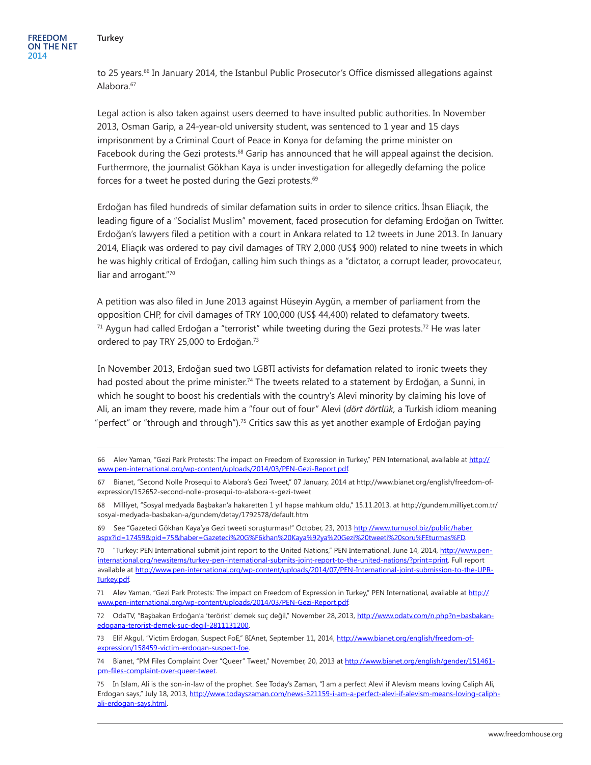#### **Turkey**

to 25 years.<sup>66</sup> In January 2014, the Istanbul Public Prosecutor's Office dismissed allegations against Alabora.<sup>67</sup>

Legal action is also taken against users deemed to have insulted public authorities. In November 2013, Osman Garip, a 24-year-old university student, was sentenced to 1 year and 15 days imprisonment by a Criminal Court of Peace in Konya for defaming the prime minister on Facebook during the Gezi protests.<sup>68</sup> Garip has announced that he will appeal against the decision. Furthermore, the journalist Gökhan Kaya is under investigation for allegedly defaming the police forces for a tweet he posted during the Gezi protests.<sup>69</sup>

Erdoğan has filed hundreds of similar defamation suits in order to silence critics. İhsan Eliaçık, the leading figure of a "Socialist Muslim" movement, faced prosecution for defaming Erdoğan on Twitter. Erdoğan's lawyers filed a petition with a court in Ankara related to 12 tweets in June 2013. In January 2014, Eliaçık was ordered to pay civil damages of TRY 2,000 (US\$ 900) related to nine tweets in which he was highly critical of Erdoğan, calling him such things as a "dictator, a corrupt leader, provocateur, liar and arrogant."70

A petition was also filed in June 2013 against Hüseyin Aygün, a member of parliament from the opposition CHP, for civil damages of TRY 100,000 (US\$ 44,400) related to defamatory tweets.  $71$  Aygun had called Erdoğan a "terrorist" while tweeting during the Gezi protests.<sup>72</sup> He was later ordered to pay TRY 25,000 to Erdoğan.<sup>73</sup>

In November 2013, Erdoğan sued two LGBTI activists for defamation related to ironic tweets they had posted about the prime minister.<sup>74</sup> The tweets related to a statement by Erdoğan, a Sunni, in which he sought to boost his credentials with the country's Alevi minority by claiming his love of Ali, an imam they revere, made him a "four out of four" Alevi (*dört dörtlük,* a Turkish idiom meaning "perfect" or "through and through").<sup>75</sup> Critics saw this as yet another example of Erdoğan paying

68 Milliyet, "Sosyal medyada Başbakan'a hakaretten 1 yıl hapse mahkum oldu," 15.11.2013, at http://gundem.milliyet.com.tr/ sosyal-medyada-basbakan-a/gundem/detay/1792578/default.htm

69 See "Gazeteci Gökhan Kaya'ya Gezi tweeti soruşturması!" October, 23, 2013 [http://www.turnusol.biz/public/haber.](http://www.turnusol.biz/public/haber.aspx?id=17459&pid=75&haber=Gazeteci G%F6khan Kaya%92ya Gezi tweeti soru%FEturmas%FD) [aspx?id=17459&pid=75&haber=Gazeteci%20G%F6khan%20Kaya%92ya%20Gezi%20tweeti%20soru%FEturmas%FD](http://www.turnusol.biz/public/haber.aspx?id=17459&pid=75&haber=Gazeteci G%F6khan Kaya%92ya Gezi tweeti soru%FEturmas%FD).

70 "Turkey: PEN International submit joint report to the United Nations," PEN International, June 14, 2014, [http://www.pen](http://www.pen-international.org/newsitems/turkey-pen-international-submits-joint-report-to-the-united-nations/?print=print)[international.org/newsitems/turkey-pen-international-submits-joint-report-to-the-united-nations/?print=print](http://www.pen-international.org/newsitems/turkey-pen-international-submits-joint-report-to-the-united-nations/?print=print). Full report available at [http://www.pen-international.org/wp-content/uploads/2014/07/PEN-International-joint-submission-to-the-UPR-](http://www.pen-international.org/wp-content/uploads/2014/07/PEN-International-joint-submission-to-the-UPR-Turkey.pdf)[Turkey.pdf.](http://www.pen-international.org/wp-content/uploads/2014/07/PEN-International-joint-submission-to-the-UPR-Turkey.pdf)

71 Alev Yaman, "Gezi Park Protests: The impact on Freedom of Expression in Turkey," PEN International, available at [http://](http://www.pen-international.org/wp-content/uploads/2014/03/PEN-Gezi-Report.pdf) [www.pen-international.org/wp-content/uploads/2014/03/PEN-Gezi-Report.pdf.](http://www.pen-international.org/wp-content/uploads/2014/03/PEN-Gezi-Report.pdf)

72 OdaTV, "Başbakan Erdoğan'a 'terörist' demek suç değil," November 28, 2013, [http://www.odatv.com/n.php?n=basbakan](http://www.odatv.com/n.php?n=basbakan-edogana-terorist-demek-suc-degil-2811131200)[edogana-terorist-demek-suc-degil-2811131200.](http://www.odatv.com/n.php?n=basbakan-edogana-terorist-demek-suc-degil-2811131200)

73 Elif Akgul, "Victim Erdogan, Suspect FoE," BIAnet, September 11, 2014, [http://www.bianet.org/english/freedom-of](http://www.bianet.org/english/freedom-of-expression/158459-victim-erdogan-suspect-foe)[expression/158459-victim-erdogan-suspect-foe.](http://www.bianet.org/english/freedom-of-expression/158459-victim-erdogan-suspect-foe)

74 Bianet, "PM Files Complaint Over "Queer" Tweet," November, 20, 2013 at [http://www.bianet.org/english/gender/151461](http://www.bianet.org/english/gender/151461-pm-files-complaint-over-queer-tweet) [pm-files-complaint-over-queer-tweet](http://www.bianet.org/english/gender/151461-pm-files-complaint-over-queer-tweet).

<sup>66</sup> Alev Yaman, "Gezi Park Protests: The impact on Freedom of Expression in Turkey," PEN International, available at [http://](http://www.pen-international.org/wp-content/uploads/2014/03/PEN-Gezi-Report.pdf) [www.pen-international.org/wp-content/uploads/2014/03/PEN-Gezi-Report.pdf.](http://www.pen-international.org/wp-content/uploads/2014/03/PEN-Gezi-Report.pdf)

<sup>67</sup> Bianet, "Second Nolle Prosequi to Alabora's Gezi Tweet," 07 January, 2014 at http://www.bianet.org/english/freedom-ofexpression/152652-second-nolle-prosequi-to-alabora-s-gezi-tweet

<sup>75</sup> In Islam, Ali is the son-in-law of the prophet. See Today's Zaman, "I am a perfect Alevi if Alevism means loving Caliph Ali, Erdogan says," July 18, 2013, [http://www.todayszaman.com/news-321159-i-am-a-perfect-alevi-if-alevism-means-loving-caliph](http://www.todayszaman.com/news-321159-i-am-a-perfect-alevi-if-alevism-means-loving-caliph-ali-erdogan-says.html)[ali-erdogan-says.html.](http://www.todayszaman.com/news-321159-i-am-a-perfect-alevi-if-alevism-means-loving-caliph-ali-erdogan-says.html)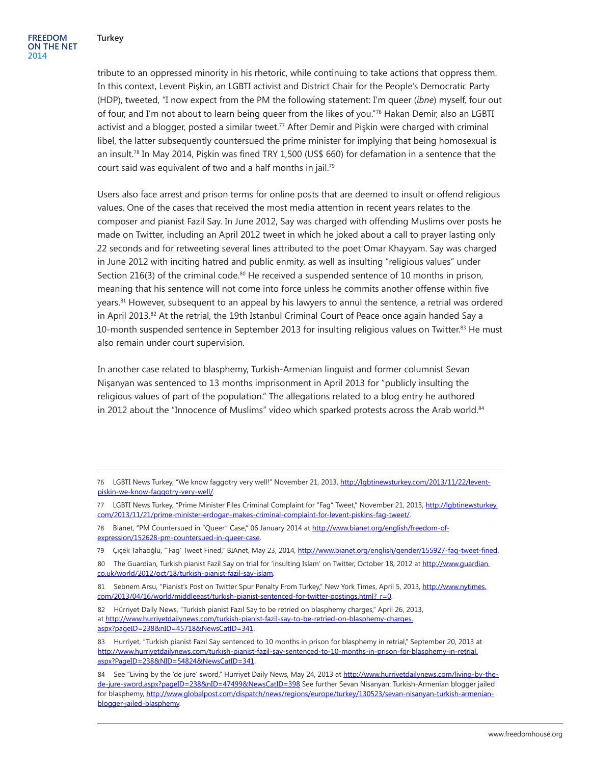tribute to an oppressed minority in his rhetoric, while continuing to take actions that oppress them. In this context, Levent Pişkin, an LGBTI activist and District Chair for the People's Democratic Party (HDP), tweeted, "I now expect from the PM the following statement: I'm queer (*ibne*) myself, four out of four, and I'm not about to learn being queer from the likes of you."76 Hakan Demir, also an LGBTI activist and a blogger, posted a similar tweet.<sup>77</sup> After Demir and Piskin were charged with criminal libel, the latter subsequently countersued the prime minister for implying that being homosexual is an insult.78 In May 2014, Pişkin was fined TRY 1,500 (US\$ 660) for defamation in a sentence that the court said was equivalent of two and a half months in jail.79

Users also face arrest and prison terms for online posts that are deemed to insult or offend religious values. One of the cases that received the most media attention in recent years relates to the composer and pianist Fazil Say. In June 2012, Say was charged with offending Muslims over posts he made on Twitter, including an April 2012 tweet in which he joked about a call to prayer lasting only 22 seconds and for retweeting several lines attributed to the poet Omar Khayyam. Say was charged in June 2012 with inciting hatred and public enmity, as well as insulting "religious values" under Section 216(3) of the criminal code. $80$  He received a suspended sentence of 10 months in prison, meaning that his sentence will not come into force unless he commits another offense within five years.<sup>81</sup> However, subsequent to an appeal by his lawyers to annul the sentence, a retrial was ordered in April 2013.<sup>82</sup> At the retrial, the 19th Istanbul Criminal Court of Peace once again handed Say a 10-month suspended sentence in September 2013 for insulting religious values on Twitter.<sup>83</sup> He must also remain under court supervision.

In another case related to blasphemy, Turkish-Armenian linguist and former columnist Sevan Nişanyan was sentenced to 13 months imprisonment in April 2013 for "publicly insulting the religious values of part of the population." The allegations related to a blog entry he authored in 2012 about the "Innocence of Muslims" video which sparked protests across the Arab world.<sup>84</sup>

<sup>76</sup> LGBTI News Turkey, "We know faggotry very well!" November 21, 2013, [http://lgbtinewsturkey.com/2013/11/22/levent](http://lgbtinewsturkey.com/2013/11/22/levent-piskin-we-know-faggotry-very-well/)[piskin-we-know-faggotry-very-well/.](http://lgbtinewsturkey.com/2013/11/22/levent-piskin-we-know-faggotry-very-well/)

<sup>77</sup> LGBTI News Turkey, "Prime Minister Files Criminal Complaint for "Fag" Tweet," November 21, 2013, [http://lgbtinewsturkey.](http://lgbtinewsturkey.com/2013/11/21/prime-minister-erdogan-makes-criminal-complaint-for-levent-piskins-fag-tweet/) [com/2013/11/21/prime-minister-erdogan-makes-criminal-complaint-for-levent-piskins-fag-tweet/](http://lgbtinewsturkey.com/2013/11/21/prime-minister-erdogan-makes-criminal-complaint-for-levent-piskins-fag-tweet/).

<sup>78</sup> Bianet, "PM Countersued in "Queer" Case," 06 January 2014 at [http://www.bianet.org/english/freedom-of](http://www.bianet.org/english/freedom-of-expression/152628-pm-countersued-in-queer-case)[expression/152628-pm-countersued-in-queer-case](http://www.bianet.org/english/freedom-of-expression/152628-pm-countersued-in-queer-case).

<sup>79</sup> Çiçek Tahaoğlu, "'Fag' Tweet Fined," BIAnet, May 23, 2014, <http://www.bianet.org/english/gender/155927-fag-tweet-fined>.

<sup>80</sup> The Guardian, Turkish pianist Fazil Say on trial for 'insulting Islam' on Twitter, October 18, 2012 at [http://www.guardian.](http://www.guardian.co.uk/world/2012/oct/18/turkish-pianist-fazil-say-islam) [co.uk/world/2012/oct/18/turkish-pianist-fazil-say-islam.](http://www.guardian.co.uk/world/2012/oct/18/turkish-pianist-fazil-say-islam)

<sup>81</sup> Sebnem Arsu, "Pianist's Post on Twitter Spur Penalty From Turkey," New York Times, April 5, 2013, [http://www.nytimes.](http://www.nytimes.com/2013/04/16/world/middleeast/turkish-pianist-sentenced-for-twitter-postings.html?_r=0) [com/2013/04/16/world/middleeast/turkish-pianist-sentenced-for-twitter-postings.html?\\_r=0](http://www.nytimes.com/2013/04/16/world/middleeast/turkish-pianist-sentenced-for-twitter-postings.html?_r=0).

<sup>82</sup> Hürriyet Daily News, "Turkish pianist Fazıl Say to be retried on blasphemy charges," April 26, 2013, at [http://www.hurriyetdailynews.com/turkish-pianist-fazil-say-to-be-retried-on-blasphemy-charges.](http://www.hurriyetdailynews.com/turkish-pianist-fazil-say-to-be-retried-on-blasphemy-charges.aspx?pageID=238&nID=45718&NewsCatID=341) [aspx?pageID=238&nID=45718&NewsCatID=341](http://www.hurriyetdailynews.com/turkish-pianist-fazil-say-to-be-retried-on-blasphemy-charges.aspx?pageID=238&nID=45718&NewsCatID=341).

<sup>83</sup> Hurriyet, "Turkish pianist Fazıl Say sentenced to 10 months in prison for blasphemy in retrial," September 20, 2013 at [http://www.hurriyetdailynews.com/turkish-pianist-fazil-say-sentenced-to-10-months-in-prison-for-blasphemy-in-retrial.](http://www.hurriyetdailynews.com/turkish-pianist-fazil-say-sentenced-to-10-months-in-prison-for-blasphemy-in-retrial.aspx?PageID=238&NID=54824&NewsCatID=341) [aspx?PageID=238&NID=54824&NewsCatID=341](http://www.hurriyetdailynews.com/turkish-pianist-fazil-say-sentenced-to-10-months-in-prison-for-blasphemy-in-retrial.aspx?PageID=238&NID=54824&NewsCatID=341).

<sup>84</sup> See "Living by the 'de jure' sword," Hurriyet Daily News, May 24, 2013 at [http://www.hurriyetdailynews.com/living-by-the](http://www.hurriyetdailynews.com/living-by-the-de-jure-sword.aspx?pageID=238&nID=47499&NewsCatID=398)[de-jure-sword.aspx?pageID=238&nID=47499&NewsCatID=398](http://www.hurriyetdailynews.com/living-by-the-de-jure-sword.aspx?pageID=238&nID=47499&NewsCatID=398) See further Sevan Nisanyan: Turkish-Armenian blogger jailed for blasphemy, [http://www.globalpost.com/dispatch/news/regions/europe/turkey/130523/sevan-nisanyan-turkish-armenian](http://www.globalpost.com/dispatch/news/regions/europe/turkey/130523/sevan-nisanyan-turkish-armenian-blogger-jailed-blasphemy)[blogger-jailed-blasphemy.](http://www.globalpost.com/dispatch/news/regions/europe/turkey/130523/sevan-nisanyan-turkish-armenian-blogger-jailed-blasphemy)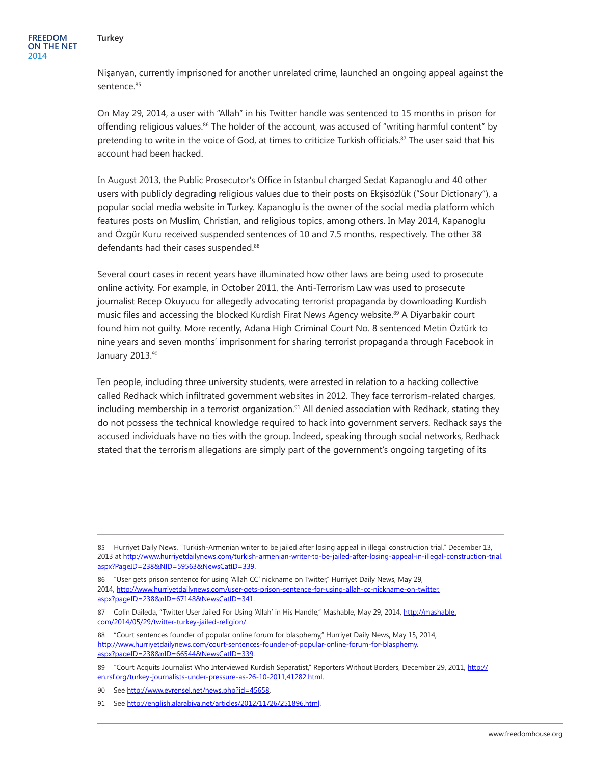Nişanyan, currently imprisoned for another unrelated crime, launched an ongoing appeal against the sentence.<sup>85</sup>

On May 29, 2014, a user with "Allah" in his Twitter handle was sentenced to 15 months in prison for offending religious values.<sup>86</sup> The holder of the account, was accused of "writing harmful content" by pretending to write in the voice of God, at times to criticize Turkish officials.<sup>87</sup> The user said that his account had been hacked.

In August 2013, the Public Prosecutor's Office in Istanbul charged Sedat Kapanoglu and 40 other users with publicly degrading religious values due to their posts on Ekşisözlük ("Sour Dictionary"), a popular social media website in Turkey. Kapanoglu is the owner of the social media platform which features posts on Muslim, Christian, and religious topics, among others. In May 2014, Kapanoglu and Özgür Kuru received suspended sentences of 10 and 7.5 months, respectively. The other 38 defendants had their cases suspended.<sup>88</sup>

Several court cases in recent years have illuminated how other laws are being used to prosecute online activity. For example, in October 2011, the Anti-Terrorism Law was used to prosecute journalist Recep Okuyucu for allegedly advocating terrorist propaganda by downloading Kurdish music files and accessing the blocked Kurdish Firat News Agency website.89 A Diyarbakir court found him not guilty. More recently, Adana High Criminal Court No. 8 sentenced Metin Öztürk to nine years and seven months' imprisonment for sharing terrorist propaganda through Facebook in January 2013.90

Ten people, including three university students, were arrested in relation to a hacking collective called Redhack which infiltrated government websites in 2012. They face terrorism-related charges, including membership in a terrorist organization.<sup>91</sup> All denied association with Redhack, stating they do not possess the technical knowledge required to hack into government servers. Redhack says the accused individuals have no ties with the group. Indeed, speaking through social networks, Redhack stated that the terrorism allegations are simply part of the government's ongoing targeting of its

<sup>85</sup> Hurriyet Daily News, "Turkish-Armenian writer to be jailed after losing appeal in illegal construction trial," December 13, 2013 at [http://www.hurriyetdailynews.com/turkish-armenian-writer-to-be-jailed-after-losing-appeal-in-illegal-construction-trial.](http://www.hurriyetdailynews.com/turkish-armenian-writer-to-be-jailed-after-losing-appeal-in-illegal-construction-trial.aspx?PageID=238&NID=59563&NewsCatID=339) [aspx?PageID=238&NID=59563&NewsCatID=339](http://www.hurriyetdailynews.com/turkish-armenian-writer-to-be-jailed-after-losing-appeal-in-illegal-construction-trial.aspx?PageID=238&NID=59563&NewsCatID=339).

<sup>86</sup> "User gets prison sentence for using 'Allah CC' nickname on Twitter," Hurriyet Daily News, May 29, 2014, [http://www.hurriyetdailynews.com/user-gets-prison-sentence-for-using-allah-cc-nickname-on-twitter.](http://www.hurriyetdailynews.com/user-gets-prison-sentence-for-using-allah-cc-nickname-on-twitter.aspx?pageID=238&nID=67148&NewsCatID=341) [aspx?pageID=238&nID=67148&NewsCatID=341](http://www.hurriyetdailynews.com/user-gets-prison-sentence-for-using-allah-cc-nickname-on-twitter.aspx?pageID=238&nID=67148&NewsCatID=341).

<sup>87</sup> Colin Daileda, "Twitter User Jailed For Using 'Allah' in His Handle," Mashable, May 29, 2014, [http://mashable.](http://mashable.com/2014/05/29/twitter-turkey-jailed-religion/) [com/2014/05/29/twitter-turkey-jailed-religion/](http://mashable.com/2014/05/29/twitter-turkey-jailed-religion/).

<sup>88</sup> "Court sentences founder of popular online forum for blasphemy," Hurriyet Daily News, May 15, 2014, [http://www.hurriyetdailynews.com/court-sentences-founder-of-popular-online-forum-for-blasphemy.](http://www.hurriyetdailynews.com/court-sentences-founder-of-popular-online-forum-for-blasphemy.aspx?pageID=238&nID=66544&NewsCatID=339) [aspx?pageID=238&nID=66544&NewsCatID=339](http://www.hurriyetdailynews.com/court-sentences-founder-of-popular-online-forum-for-blasphemy.aspx?pageID=238&nID=66544&NewsCatID=339).

<sup>89 &</sup>quot;Court Acquits Journalist Who Interviewed Kurdish Separatist," Reporters Without Borders, December 29, 2011, [http://](http://en.rsf.org/turkey-journalists-under-pressure-as-26-10-2011,41282.html) [en.rsf.org/turkey-journalists-under-pressure-as-26-10-2011,41282.html](http://en.rsf.org/turkey-journalists-under-pressure-as-26-10-2011,41282.html).

<sup>90</sup> See <http://www.evrensel.net/news.php?id=45658>

<sup>91</sup> See <http://english.alarabiya.net/articles/2012/11/26/251896.html>.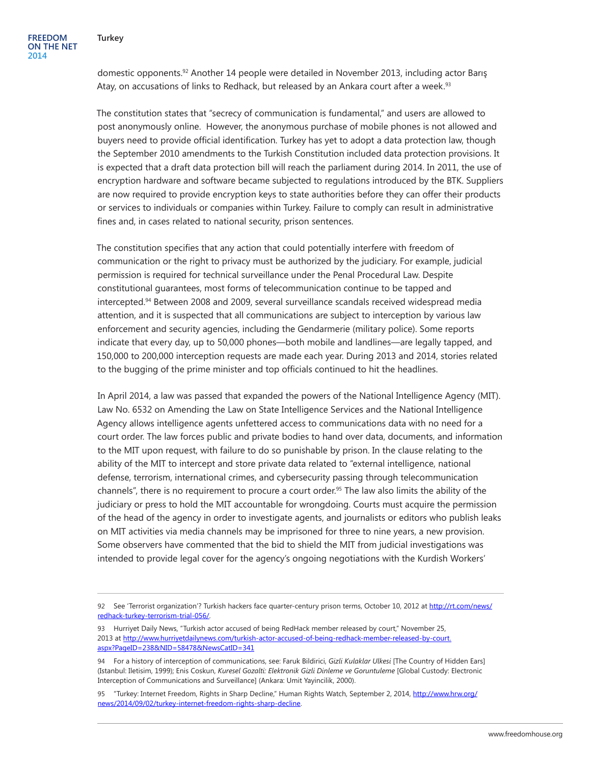domestic opponents.92 Another 14 people were detailed in November 2013, including actor Barış Atay, on accusations of links to Redhack, but released by an Ankara court after a week.<sup>93</sup>

The constitution states that "secrecy of communication is fundamental," and users are allowed to post anonymously online. However, the anonymous purchase of mobile phones is not allowed and buyers need to provide official identification. Turkey has yet to adopt a data protection law, though the September 2010 amendments to the Turkish Constitution included data protection provisions. It is expected that a draft data protection bill will reach the parliament during 2014. In 2011, the use of encryption hardware and software became subjected to regulations introduced by the BTK. Suppliers are now required to provide encryption keys to state authorities before they can offer their products or services to individuals or companies within Turkey. Failure to comply can result in administrative fines and, in cases related to national security, prison sentences.

The constitution specifies that any action that could potentially interfere with freedom of communication or the right to privacy must be authorized by the judiciary. For example, judicial permission is required for technical surveillance under the Penal Procedural Law. Despite constitutional guarantees, most forms of telecommunication continue to be tapped and intercepted.94 Between 2008 and 2009, several surveillance scandals received widespread media attention, and it is suspected that all communications are subject to interception by various law enforcement and security agencies, including the Gendarmerie (military police). Some reports indicate that every day, up to 50,000 phones—both mobile and landlines—are legally tapped, and 150,000 to 200,000 interception requests are made each year. During 2013 and 2014, stories related to the bugging of the prime minister and top officials continued to hit the headlines.

In April 2014, a law was passed that expanded the powers of the National Intelligence Agency (MIT). Law No. 6532 on Amending the Law on State Intelligence Services and the National Intelligence Agency allows intelligence agents unfettered access to communications data with no need for a court order. The law forces public and private bodies to hand over data, documents, and information to the MIT upon request, with failure to do so punishable by prison. In the clause relating to the ability of the MIT to intercept and store private data related to "external intelligence, national defense, terrorism, international crimes, and cybersecurity passing through telecommunication channels", there is no requirement to procure a court order.<sup>95</sup> The law also limits the ability of the judiciary or press to hold the MIT accountable for wrongdoing. Courts must acquire the permission of the head of the agency in order to investigate agents, and journalists or editors who publish leaks on MIT activities via media channels may be imprisoned for three to nine years, a new provision. Some observers have commented that the bid to shield the MIT from judicial investigations was intended to provide legal cover for the agency's ongoing negotiations with the Kurdish Workers'

<sup>92</sup> See 'Terrorist organization'? Turkish hackers face quarter-century prison terms, October 10, 2012 at [http://rt.com/news/](http://rt.com/news/redhack-turkey-terrorism-trial-056/) [redhack-turkey-terrorism-trial-056/.](http://rt.com/news/redhack-turkey-terrorism-trial-056/)

<sup>93</sup> Hurriyet Daily News, "Turkish actor accused of being RedHack member released by court," November 25, 2013 at [http://www.hurriyetdailynews.com/turkish-actor-accused-of-being-redhack-member-released-by-court.](http://www.hurriyetdailynews.com/turkish-actor-accused-of-being-redhack-member-released-by-court.aspx?PageID=238&NID=58478&NewsCatID=341) [aspx?PageID=238&NID=58478&NewsCatID=341](http://www.hurriyetdailynews.com/turkish-actor-accused-of-being-redhack-member-released-by-court.aspx?PageID=238&NID=58478&NewsCatID=341)

<sup>94</sup> For a history of interception of communications, see: Faruk Bildirici, *Gizli Kulaklar Ulkesi* [The Country of Hidden Ears] (Istanbul: Iletisim, 1999); Enis Coskun, *Kuresel Gozalti: Elektronik Gizli Dinleme ve Goruntuleme* [Global Custody: Electronic Interception of Communications and Surveillance] (Ankara: Umit Yayincilik, 2000).

<sup>95</sup> "Turkey: Internet Freedom, Rights in Sharp Decline," Human Rights Watch, September 2, 2014, [http://www.hrw.org/](http://www.hrw.org/news/2014/09/02/turkey-internet-freedom-rights-sharp-decline) [news/2014/09/02/turkey-internet-freedom-rights-sharp-decline](http://www.hrw.org/news/2014/09/02/turkey-internet-freedom-rights-sharp-decline).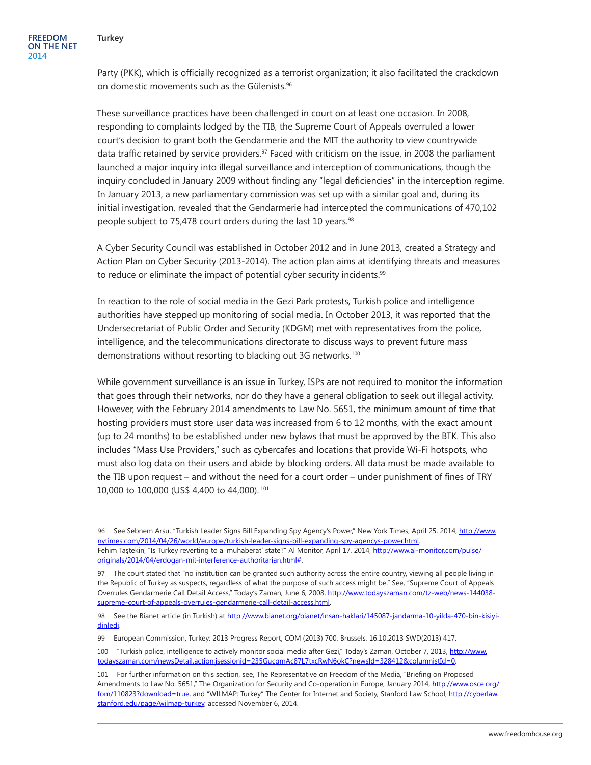Party (PKK), which is officially recognized as a terrorist organization; it also facilitated the crackdown on domestic movements such as the Gülenists.<sup>96</sup>

These surveillance practices have been challenged in court on at least one occasion. In 2008, responding to complaints lodged by the TIB, the Supreme Court of Appeals overruled a lower court's decision to grant both the Gendarmerie and the MIT the authority to view countrywide data traffic retained by service providers.<sup>97</sup> Faced with criticism on the issue, in 2008 the parliament launched a major inquiry into illegal surveillance and interception of communications, though the inquiry concluded in January 2009 without finding any "legal deficiencies" in the interception regime. In January 2013, a new parliamentary commission was set up with a similar goal and, during its initial investigation, revealed that the Gendarmerie had intercepted the communications of 470,102 people subject to 75,478 court orders during the last 10 years.<sup>98</sup>

A Cyber Security Council was established in October 2012 and in June 2013, created a Strategy and Action Plan on Cyber Security (2013-2014). The action plan aims at identifying threats and measures to reduce or eliminate the impact of potential cyber security incidents.<sup>99</sup>

In reaction to the role of social media in the Gezi Park protests, Turkish police and intelligence authorities have stepped up monitoring of social media. In October 2013, it was reported that the Undersecretariat of Public Order and Security (KDGM) met with representatives from the police, intelligence, and the telecommunications directorate to discuss ways to prevent future mass demonstrations without resorting to blacking out 3G networks.<sup>100</sup>

While government surveillance is an issue in Turkey, ISPs are not required to monitor the information that goes through their networks, nor do they have a general obligation to seek out illegal activity. However, with the February 2014 amendments to Law No. 5651, the minimum amount of time that hosting providers must store user data was increased from 6 to 12 months, with the exact amount (up to 24 months) to be established under new bylaws that must be approved by the BTK. This also includes "Mass Use Providers," such as cybercafes and locations that provide Wi-Fi hotspots, who must also log data on their users and abide by blocking orders. All data must be made available to the TIB upon request – and without the need for a court order – under punishment of fines of TRY 10,000 to 100,000 (US\$ 4,400 to 44,000). <sup>101</sup>

<sup>96</sup> See Sebnem Arsu, "Turkish Leader Signs Bill Expanding Spy Agency's Power," New York Times, April 25, 2014, [http://www.](http://www.nytimes.com/2014/04/26/world/europe/turkish-leader-signs-bill-expanding-spy-agencys-power.html) [nytimes.com/2014/04/26/world/europe/turkish-leader-signs-bill-expanding-spy-agencys-power.html](http://www.nytimes.com/2014/04/26/world/europe/turkish-leader-signs-bill-expanding-spy-agencys-power.html).

Fehim Taştekin, "Is Turkey reverting to a 'muhaberat' state?" Al Monitor, April 17, 2014, [http://www.al-monitor.com/pulse/](http://www.al-monitor.com/pulse/originals/2014/04/erdogan-mit-interference-authoritarian.html) [originals/2014/04/erdogan-mit-interference-authoritarian.html#](http://www.al-monitor.com/pulse/originals/2014/04/erdogan-mit-interference-authoritarian.html).

<sup>97</sup> The court stated that "no institution can be granted such authority across the entire country, viewing all people living in the Republic of Turkey as suspects, regardless of what the purpose of such access might be." See, "Supreme Court of Appeals Overrules Gendarmerie Call Detail Access," Today's Zaman, June 6, 2008, [http://www.todayszaman.com/tz-web/news-144038](http://www.todayszaman.com/tz-web/news-144038-supreme-court-of-appeals-overrules-gendarmerie-call-detail-access.html) [supreme-court-of-appeals-overrules-gendarmerie-call-detail-access.html.](http://www.todayszaman.com/tz-web/news-144038-supreme-court-of-appeals-overrules-gendarmerie-call-detail-access.html)

<sup>98</sup> See the Bianet article (in Turkish) at [http://www.bianet.org/bianet/insan-haklari/145087-jandarma-10-yilda-470-bin-kisiyi](http://www.bianet.org/bianet/insan-haklari/145087-jandarma-10-yilda-470-bin-kisiyi-dinledi)[dinledi](http://www.bianet.org/bianet/insan-haklari/145087-jandarma-10-yilda-470-bin-kisiyi-dinledi).

<sup>99</sup> European Commission, Turkey: 2013 Progress Report, COM (2013) 700, Brussels, 16.10.2013 SWD(2013) 417.

<sup>100</sup> "Turkish police, intelligence to actively monitor social media after Gezi," Today's Zaman, October 7, 2013, [http://www.](http://www.todayszaman.com/newsDetail.action;jsessionid=235GucqmAc87L7txcRwN6okC?newsId=328412&columnistId=0) [todayszaman.com/newsDetail.action;jsessionid=235GucqmAc87L7txcRwN6okC?newsId=328412&columnistId=0](http://www.todayszaman.com/newsDetail.action;jsessionid=235GucqmAc87L7txcRwN6okC?newsId=328412&columnistId=0).

<sup>101</sup> For further information on this section, see, The Representative on Freedom of the Media, "Briefing on Proposed Amendments to Law No. 5651," The Organization for Security and Co-operation in Europe, January 2014, [http://www.osce.org/](http://www.osce.org/fom/110823?download=true) [fom/110823?download=true](http://www.osce.org/fom/110823?download=true), and "WILMAP: Turkey" The Center for Internet and Society, Stanford Law School, [http://cyberlaw.](http://cyberlaw.stanford.edu/page/wilmap-turkey) [stanford.edu/page/wilmap-turkey,](http://cyberlaw.stanford.edu/page/wilmap-turkey) accessed November 6, 2014.